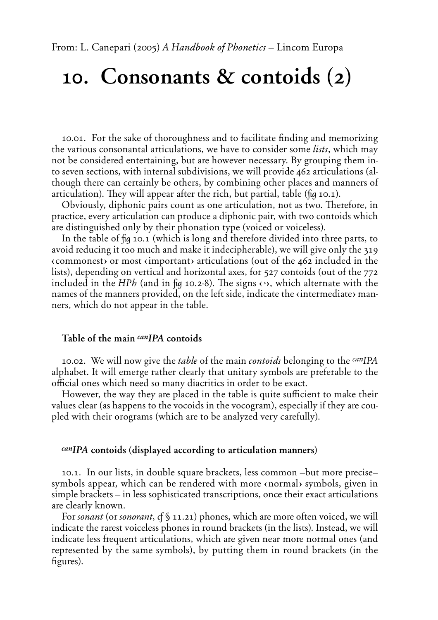# 10. Consonants  $\&$  contoids  $(2)$

10.01. For the sake of thoroughness and to facilitate finding and memorizing the various consonantal articulations, we have to consider some *lists*, which may not be considered entertaining, but are however necessary. By grouping them into seven sections, with internal subdivisions, we will provide 462 articulations (although there can certainly be others, by combining other places and manners of articulation). They will appear after the rich, but partial, table (*fig* 10.1).

Obviously, diphonic pairs count as one articulation, not as two. Therefore, in practice, every articulation can produce a diphonic pair, with two contoids which are distinguished only by their phonation type (voiced or voiceless).

In the table of *û* 10.1 (which is long and therefore divided into three parts, to avoid reducing it too much and make it indecipherable), we will give only the 319  $\langle$  commonest $\rangle$  or most  $\langle$  important $\rangle$  articulations (out of the 462 included in the lists), depending on vertical and horizontal axes, for 527 contoids (out of the 772 included in the *HPh* (and in *fig* 10.2-8). The signs  $\leftrightarrow$ , which alternate with the names of the manners provided, on the left side, indicate the  $\langle$  intermediate $\rangle$  manners, which do not appear in the table.

# Table of the main <sup>can</sup>IPA contoids

10.02. We will now give the *table* of the main *contoids* belonging to the *canIPA* alphabet. It will emerge rather clearly that unitary symbols are preferable to the official ones which need so many diacritics in order to be exact.

However, the way they are placed in the table is quite sufficient to make their values clear (as happens to the vocoids in the vocogram), especially if they are coupled with their orograms (which are to be analyzed very carefully).

# *CANIPA* contoids (displayed according to articulation manners)

10.1. In our lists, in double square brackets, less common –but more precise– symbols appear, which can be rendered with more «normal» symbols, given in simple brackets – in less sophisticated transcriptions, once their exact articulations are clearly known.

For *sonant* (or *sonorant*, cf § 11.21) phones, which are more often voiced, we will indicate the rarest voiceless phones in round brackets (in the lists). Instead, we will indicate less frequent articulations, which are given near more normal ones (and represented by the same symbols), by putting them in round brackets (in the figures).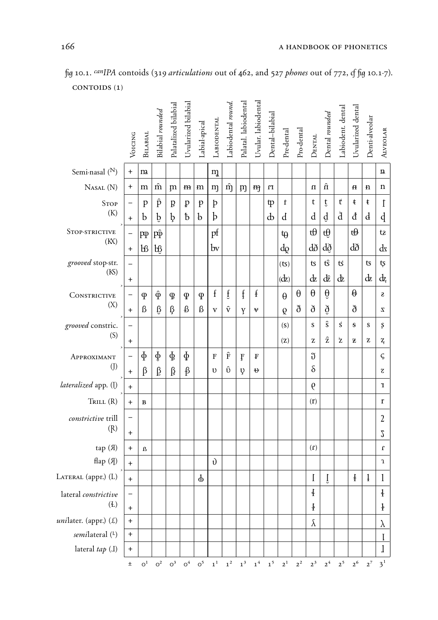|                           | VOICING           | <b>BILABIAL</b>             | Bilabial rounded   | Palatalized bilabial | Uvularized bilabial | Labial-apical | LABIODENTAL  | Labiodental round. | Palatal. labiodental | Uvular. labiodental | Dental-bilabial | $\ensuremath{\text{Pre}-\text{dental}}$                           | $\ensuremath{\text{Pro-}denta}$ | $D_{\rm ENTAL}$  | Dental rounded | Labiodent. dental | Uvularized dental | Denti-alveolar | <b>ALVEOLAR</b>         |
|---------------------------|-------------------|-----------------------------|--------------------|----------------------|---------------------|---------------|--------------|--------------------|----------------------|---------------------|-----------------|-------------------------------------------------------------------|---------------------------------|------------------|----------------|-------------------|-------------------|----------------|-------------------------|
| Semi-nasal $(N)$          | $\ddot{}$         | m                           |                    |                      |                     |               | m            |                    |                      |                     |                 |                                                                   |                                 |                  |                |                   |                   |                | n                       |
| NASAL (N)                 | $\bf{+}$          | m                           | $\hat{m}$          | m                    | m                   | m             | m            | $\hat{m}$          | m                    | m                   | $\mathbf{u}$    |                                                                   |                                 | $\mathbf u$      | ń              |                   | $\mathbf H$       | n              | $\mathbf n$             |
| <b>STOP</b>               | $\qquad \qquad -$ | p                           | $\hat{\mathrm{p}}$ | $\boldsymbol{B}$     | ₽                   | p             | þ            |                    |                      |                     | tp              | $\mathbf t$                                                       |                                 | t                | ţ              | $\mathbf t$       | ŧ                 | $\mathfrak{t}$ | $\mathfrak t$           |
| (K)                       | $\ddagger$        | b                           | $\mathbf b$        | þ                    | $\mathfrak b$       | $\mathbf{b}$  | $\mathbf{b}$ |                    |                      |                     | ф               | d                                                                 |                                 | d                | $\rm d$        | d                 | đ                 | $\mathbf d$    | þ                       |
| STOP-STRICTIVE            | $\qquad \qquad -$ | pp                          | $\hat{p}$          |                      |                     |               | pf           |                    |                      |                     |                 | tθ                                                                |                                 | tθ               | tθ             |                   | tθ                |                | tz                      |
| (KX)                      | $\ddot{}$         | bß                          | b₿                 |                      |                     |               | $\mathbf{b}$ |                    |                      |                     |                 | do                                                                |                                 | dð               | dð             |                   | dð                |                | $\mathrm{d}$            |
| grooved stop-str.<br>(KS) |                   |                             |                    |                      |                     |               |              |                    |                      |                     |                 | (ts)                                                              |                                 | $\mathsf{t}$ s   | $t\hat{s}$     | ť                 |                   | ts             | ţs                      |
|                           | $\ddot{}$         |                             |                    |                      |                     |               |              |                    |                      |                     |                 | (dz)                                                              |                                 | $\mathrm{d}z$    | dê             | dz                |                   | $\mathrm{d}z$  | dz                      |
| CONSTRICTIVE              |                   | $\varphi$                   | $\hat{\Phi}$       | $\mathfrak{P}$       | $\mathfrak{P}$      | $\varphi$     | $\mathbf f$  | $\mathfrak{f}$     | ţ                    | $\mathbf{f}$        |                 | $\theta$                                                          | θ                               | θ                | $\theta$       |                   | $\theta$          |                | S                       |
| (X)                       | $+$               | $\beta$                     | $\beta$            | ß                    | ₿                   | ß             | $\mathbf{V}$ | $\hat{\mathrm{v}}$ | Y                    | $\mathbf{v}$        |                 | Q                                                                 | ð                               | $\delta$         | $\delta$       |                   | ð                 |                | Z                       |
| grooved constric.         |                   |                             |                    |                      |                     |               |              |                    |                      |                     |                 | (S)                                                               |                                 | S                | $\hat{s}$      | $\mathbf{s}$      | $\mathbf{s}$      | s              | $\boldsymbol{\xi}$      |
| (S)                       | $\ddot{}$         |                             |                    |                      |                     |               |              |                    |                      |                     |                 | (Z)                                                               |                                 | Z                | $\hat{z}$      | $\mathbf{z}$      | Z                 | z              | $\mathbf{z}_{\text{f}}$ |
| APPROXIMANT               |                   | $\Phi$                      | $\Phi$             | $\Phi$               | $\Phi$              |               | $\mathbf F$  | $\hat{F}$          | F                    | F                   |                 |                                                                   |                                 | $\mathfrak{J}$   |                |                   |                   |                | ς                       |
| $($ [ $)$                 | $\ddot{}$         | $\beta$                     | $\beta$            | β                    | $\beta$             |               | υ            | $\hat{v}$          | Ų                    | ₩                   |                 |                                                                   |                                 | $\delta$         |                |                   |                   |                | Z                       |
| lateralized app. (I)      | $+$               |                             |                    |                      |                     |               |              |                    |                      |                     |                 |                                                                   |                                 | $\theta$         |                |                   |                   |                | T                       |
| TRILL(R)                  | $\ddot{}$         | B                           |                    |                      |                     |               |              |                    |                      |                     |                 |                                                                   |                                 | (r)              |                |                   |                   |                | $\mathbf r$             |
| constrictive trill        | $\qquad \qquad -$ |                             |                    |                      |                     |               |              |                    |                      |                     |                 |                                                                   |                                 |                  |                |                   |                   |                | $\overline{2}$          |
| (R)                       | $\ddot{}$         |                             |                    |                      |                     |               |              |                    |                      |                     |                 |                                                                   |                                 |                  |                |                   |                   |                | $\sqrt{2}$              |
| tap (A)                   | $+$               | $\boldsymbol{\Omega}$       |                    |                      |                     |               |              |                    |                      |                     |                 |                                                                   |                                 | (1)              |                |                   |                   |                | $\mathbf r$             |
| $\text{flap}(A)$          | $+$               |                             |                    |                      |                     |               | $\mathbf{v}$ |                    |                      |                     |                 |                                                                   |                                 |                  |                |                   |                   |                | $\boldsymbol{1}$        |
| LATERAL (appr.) (L)       | $\boldsymbol{+}$  |                             |                    |                      |                     | $\Phi$        |              |                    |                      |                     |                 |                                                                   |                                 | I                | Ţ              |                   | $\ddagger$        | ļ              | $\mathbf{l}$            |
| lateral constrictive      |                   |                             |                    |                      |                     |               |              |                    |                      |                     |                 |                                                                   |                                 | $\ddagger$       |                |                   |                   |                | $\frac{1}{2}$           |
| (E)                       | $\ddot{}$         |                             |                    |                      |                     |               |              |                    |                      |                     |                 |                                                                   |                                 | $\pmb{\ddagger}$ |                |                   |                   |                | $\frac{1}{2}$           |
| $unilater.$ (appr.) $(L)$ | $\ddot{}$         |                             |                    |                      |                     |               |              |                    |                      |                     |                 |                                                                   |                                 | $\lambda$        |                |                   |                   |                | $\lambda$               |
| semilateral (L)           | $\ddot{}$         |                             |                    |                      |                     |               |              |                    |                      |                     |                 |                                                                   |                                 |                  |                |                   |                   |                | I                       |
| lateral tap (I)           | $\ddagger$        |                             |                    |                      |                     |               |              |                    |                      |                     |                 |                                                                   |                                 |                  |                |                   |                   |                | l                       |
|                           | $\pm$             | $\boldsymbol{\mathrm{o}}^1$ |                    |                      |                     |               |              |                    |                      |                     |                 | $0^2$ $0^3$ $0^4$ $0^5$ $1^1$ $1^2$ $1^3$ $1^4$ $1^5$ $2^1$ $2^2$ |                                 | $2^3$            |                |                   | $2^4$ $2^5$ $2^6$ | $2^7$ $3^1$    |                         |

*û* 10.1. *canIPA* contoids (319 *articulations* out of 462, and 527 *phones* out of 772, *Ô û* 10.1-7). CONTOIDS (1)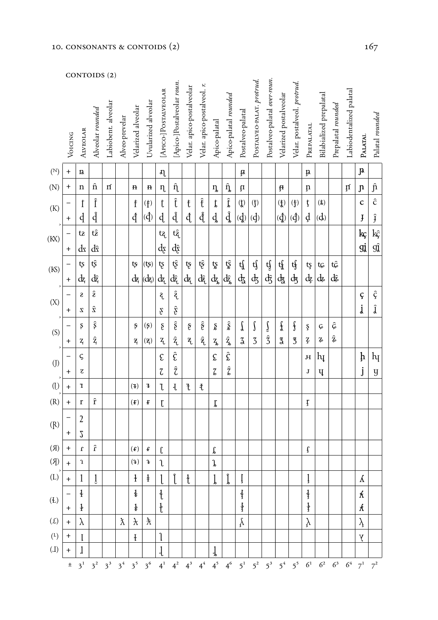|                           |             |                           | CON1OIDS (Z)                                                                                    |                     |                |                             |                                                    |                                   |                                 |                           |                                 |                                                                                         |                          |                    |                           |                              |                           |                                                 |                           |                          |                    |                         |                    |                    |
|---------------------------|-------------|---------------------------|-------------------------------------------------------------------------------------------------|---------------------|----------------|-----------------------------|----------------------------------------------------|-----------------------------------|---------------------------------|---------------------------|---------------------------------|-----------------------------------------------------------------------------------------|--------------------------|--------------------|---------------------------|------------------------------|---------------------------|-------------------------------------------------|---------------------------|--------------------------|--------------------|-------------------------|--------------------|--------------------|
|                           | Voicing     | <b>ALVEOLAR</b>           | Alveolar rounded                                                                                | Labiobent. alveolar | Alveo-prevelar | Velarized alveolar          | Uvularized alveolar                                | [APICO-]POSTALVEOLAR              | [Apico-]Postalveolar roun.      | Velar. apico-postalveolar | Velar. apico-postalveol. r.     | Apico-palatal                                                                           | Apico-palatal rounded    | Postalveo-palatal  | POSTALVEO-PALAT. protrud. | Postalveo-palatal over-roun. | Velarized postalveolar    | Velar. postalveol. protrud.                     | PREPALATAL                | Bilabialized prepalatal  | Prepalatal rounded | Labiodentalized palatal | PALATAL            | Palatal rounded    |
| $(\mathbb{N})$            | $\mathbf +$ | 1a                        |                                                                                                 |                     |                |                             |                                                    | ฦ                                 |                                 |                           |                                 |                                                                                         |                          | $\mathfrak{g}$     |                           |                              |                           |                                                 | Ŗ                         |                          |                    |                         | $\mathbf{J}$       |                    |
| (N)                       | $\ddagger$  | n                         | $\hat{\mathbf{n}}$                                                                              | $\mathbf n$         |                | $\mathbf H$                 | $\mathbf{R}$                                       | $\eta$                            | $\hat{\eta}$                    |                           |                                 | ŋ                                                                                       | $\hat{\eta}$             | $\mathbf{\hat{u}}$ |                           |                              | ₽                         |                                                 | ņ                         |                          |                    | ţſ                      | $\mathfrak{p}$     | $\hat{\mathbf{n}}$ |
| (K)                       |             | İ                         | Î                                                                                               |                     |                | $\ddagger$                  | $\left( \frac{t}{l} \right)$                       | t                                 | Ĵ                               | $\mathfrak{t}$            | $\hat{t}$                       | $\pmb{\mathit{t}}$                                                                      | ्री<br>पु                | $\hat{L}$          | $\ddot{\theta}$           |                              | $(\boldsymbol{\ddagger})$ | $\left( \ddagger \right)$                       | ţ                         | (f)                      |                    |                         | $\mathbf c$        | $\hat{\textbf{C}}$ |
| $\,$                      | $\ddagger$  | d                         | $\hat{\rm d}$                                                                                   |                     |                | đ                           | $\vec{q}$                                          | d                                 | đ                               | đ                         | đ                               | $\mathrm{d}% \left( \mathbf{1}_{A}\right) \equiv\mathrm{d}\left( \mathbf{1}_{A}\right)$ |                          | $\dot{q}$          | (d)                       |                              | $\vec{q}$                 | (đ)                                             | d                         | (d)                      |                    |                         | $\mathbf{j}$       | $\hat{\mathbf{J}}$ |
| (KX)                      |             | tz                        | tê                                                                                              |                     |                |                             |                                                    | tą                                | tậ                              |                           |                                 |                                                                                         |                          |                    |                           |                              |                           |                                                 |                           |                          |                    |                         | $\mathrm{kg}$      | kç                 |
|                           | $\ddagger$  | ď                         | dî                                                                                              |                     |                |                             |                                                    | $\mathrm{d}\! \mathrm{\acute{e}}$ | ąĝ                              |                           |                                 |                                                                                         |                          |                    |                           |                              |                           |                                                 |                           |                          |                    |                         | gį                 | GĴ                 |
| (KS)                      |             | ţş                        | ţŝ                                                                                              |                     |                | ţş                          | $(\boldsymbol{\mathsf{t}}\boldsymbol{\mathsf{s}})$ | ţ                                 | ţŝ                              | ţş                        | ţĝ                              | ţş                                                                                      | ţŝ                       | tſ                 | tſ                        | tſ                           | tf                        | tf                                              | ţş                        | tç                       | tĜ                 |                         |                    |                    |
|                           | $\ddagger$  | dz                        | dĝ                                                                                              |                     |                | dz                          | (dz)                                               | dz                                | dź,                             | dą                        | dą                              | $\mathrm{d}_{\mathrm{z}}$                                                               | dź,                      | ф                  | $\frac{1}{3}$             | ЪŜ                           | dz                        | $\mathrm{d}_{\bar{5}}$                          | $\mathrm{d}\! \mathrm{z}$ | $d\!z$                   | dê                 |                         |                    |                    |
| $\,$                      |             | S                         | $\hat{\mathbf{S}}$                                                                              |                     |                |                             |                                                    | <b>g</b>                          | $\hat{\mathbf{g}}$              |                           |                                 |                                                                                         |                          |                    |                           |                              |                           |                                                 |                           |                          |                    |                         | ç                  | $\hat{\varsigma}$  |
| (X)<br>$\,$               | $\ddagger$  | Z                         | $\hat{\mathbf{z}}$                                                                              |                     |                |                             |                                                    | Ę                                 | $\hat{\mathcal{I}}$             |                           |                                 |                                                                                         |                          |                    |                           |                              |                           |                                                 |                           |                          |                    |                         | j                  | ĵ                  |
| (S)                       |             | ş                         | $\widehat{\mathbf{s}}$                                                                          |                     |                | ş                           | $(\hat{\mathbf{z}})$                               | ş                                 | $\hat{\S}$                      | $\mathbf{\hat{g}}$        | $\hat{\mathfrak{F}}$            | ş                                                                                       | $\hat{\S}$               | Į                  | ſ                         | Ĵ                            | $\pmb{\mathfrak{f}}$      | $\pmb{\mathfrak{f}}$                            | ş                         | $\boldsymbol{\varsigma}$ | Ĝ                  |                         |                    |                    |
| $\,$                      | $\ddot{}$   | $\mathbf{Z}_{\mathrm{f}}$ | $\hat{\mathbf{z}}$                                                                              |                     |                | $\overline{z}_{1}$          | $(\overline{z})$                                   | $\rm Z$                           | $\hat{\mathbf{z}}_{\mathrm{c}}$ | $\mathbf{z}_\mathrm{L}$   | $\hat{\mathbf{z}}_{\mathrm{t}}$ | $Z_{\!{\bf k}}$                                                                         | $\hat{z}_{\rm s}$        | $\overline{3}$     | 3                         | $\hat{\mathfrak{Z}}$         | 3                         | $\overline{3}$                                  | Ţ                         | $\rm{Z}$                 | $\hat{z}$          |                         |                    |                    |
| $\left( J\right)$         |             | ς                         |                                                                                                 |                     |                |                             |                                                    | $\boldsymbol{\mathcal{E}}$        | Ê                               |                           |                                 | $\boldsymbol{\mathcal{E}}$                                                              | $\hat{\boldsymbol{\xi}}$ |                    |                           |                              |                           |                                                 | $\boldsymbol{\mathrm{H}}$ | $h_{\downarrow}$         |                    |                         | ħ                  | $h_{\text{I}}$     |
| $\rightarrow$             | $\ddot{}$   | $\mbox{z}$                |                                                                                                 |                     |                |                             |                                                    | Z                                 | $\hat{\mathcal{L}}$             |                           |                                 | $\zeta$                                                                                 | $\hat{z}$                |                    |                           |                              |                           |                                                 | J                         | Ų                        |                    |                         | j                  | $\mathbf y$        |
| $\left(\right)$           | $\ddag$     | Ţ,                        |                                                                                                 |                     |                | $(\ddot{\textbf{f}})$       | Ŧ                                                  | l                                 | $\mathfrak{t}$                  | ť                         | $\ddagger$                      |                                                                                         |                          |                    |                           |                              |                           |                                                 |                           |                          |                    |                         |                    |                    |
| (R)                       | $\ddot{}$   | r                         | $\hat{\textbf{r}}$                                                                              |                     |                | $(\mathbf{f})$              | ŧ                                                  | $\mathfrak l$                     |                                 |                           |                                 | $\pmb{\mathit{r}}$                                                                      |                          |                    |                           |                              |                           |                                                 | ŗ                         |                          |                    |                         |                    |                    |
| (R)                       |             | $\overline{2}$            |                                                                                                 |                     |                |                             |                                                    |                                   |                                 |                           |                                 |                                                                                         |                          |                    |                           |                              |                           |                                                 |                           |                          |                    |                         |                    |                    |
|                           | $\ddagger$  | 2                         |                                                                                                 |                     |                |                             |                                                    |                                   |                                 |                           |                                 |                                                                                         |                          |                    |                           |                              |                           |                                                 |                           |                          |                    |                         |                    |                    |
| (R)                       | $\ddagger$  | $\pmb{\mathsf{1}}$        | $\hat{\textbf{r}}$                                                                              |                     |                | $\left( \textbf{f} \right)$ | £                                                  | C                                 |                                 |                           |                                 | Ĵ                                                                                       |                          |                    |                           |                              |                           |                                                 | $\mathfrak{f}$            |                          |                    |                         |                    |                    |
| $(\mathcal{R})$           | $\ddot{}$   | $\mathbf{r}$              |                                                                                                 |                     |                | (3)                         | $\mathbf 3$                                        | l                                 |                                 |                           |                                 | $\mathfrak z$                                                                           |                          |                    |                           |                              |                           |                                                 |                           |                          |                    |                         |                    |                    |
| $\left( L\right)$         | $\ddot{}$   | 1                         | $\mathbf 1$                                                                                     |                     |                | $\mathbf{1}$                | $\pmb{\ddagger}$                                   |                                   | Ĵ                               | ł                         |                                 | Į                                                                                       | Ĵ                        | ţ                  |                           |                              |                           |                                                 | ļ                         |                          |                    |                         | $\Lambda$          |                    |
| $(\text{\&})$             |             | $\frac{1}{2}$             |                                                                                                 |                     |                | $\ddagger$                  |                                                    | ł                                 |                                 |                           |                                 |                                                                                         |                          | ţ                  |                           |                              |                           |                                                 | ļ                         |                          |                    |                         | k                  |                    |
|                           | $\ddagger$  | $\frac{1}{2}$             |                                                                                                 |                     |                | ¥                           |                                                    | ł                                 |                                 |                           |                                 |                                                                                         |                          | ł                  |                           |                              |                           |                                                 | ł                         |                          |                    |                         | $\pmb{\mathit{X}}$ |                    |
| $(\mathfrak{L})$          | $\ddagger$  | $\lambda$                 |                                                                                                 |                     | $\chi$         | $\lambda$                   | $\chi$                                             |                                   |                                 |                           |                                 |                                                                                         |                          |                    |                           |                              |                           |                                                 | $\lambda$                 |                          |                    |                         | $\lambda$          |                    |
| $\left(\mathrm{L}\right)$ | $\ddagger$  | $\mathbf{I}$              |                                                                                                 |                     |                | $\mathbf{I}$                |                                                    | $\mathfrak l$                     |                                 |                           |                                 |                                                                                         |                          |                    |                           |                              |                           |                                                 |                           |                          |                    |                         | $\overline{y}$     |                    |
| (L)                       | $\ddot{}$   | 1                         |                                                                                                 |                     |                |                             |                                                    | ſ                                 |                                 |                           |                                 | ļ                                                                                       |                          |                    |                           |                              |                           |                                                 |                           |                          |                    |                         |                    |                    |
|                           |             |                           | $\pm$ 3 <sup>1</sup> 3 <sup>2</sup> 3 <sup>3</sup> 3 <sup>4</sup> 3 <sup>5</sup> 3 <sup>6</sup> |                     |                |                             |                                                    | $4^1$                             |                                 | $4^2$ $4^3$ $4^4$         |                                 |                                                                                         |                          |                    |                           |                              |                           | $4^5$ $4^6$ $5^1$ $5^2$ $5^3$ $5^4$ $5^5$ $6^1$ |                           | $6^2$                    | $6^3$              |                         | $6^4$ $7^1$ $7^2$  |                    |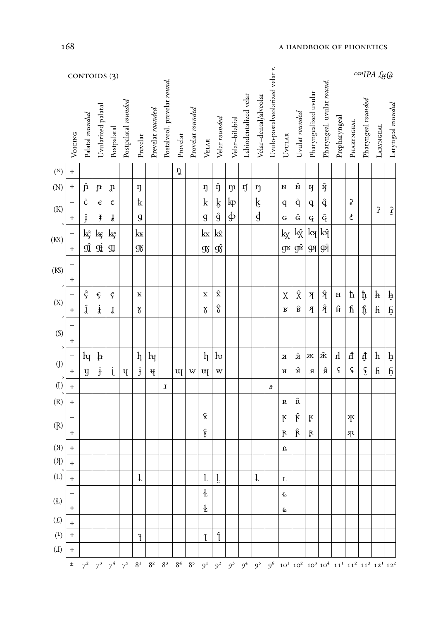|                            | CONTOIDS (3)                           |                     |                      |                    |                     |                           |                    |                             |          |                  |                                   |                     |                |                       |                       |                                 |                           |                     |                           |                           |                      | $can$ $[PA \,\mathcal{L}u\mathcal{G}]$                                                         |                      |                                                                                                                                                                                                                                                      |                        |  |  |
|----------------------------|----------------------------------------|---------------------|----------------------|--------------------|---------------------|---------------------------|--------------------|-----------------------------|----------|------------------|-----------------------------------|---------------------|----------------|-----------------------|-----------------------|---------------------------------|---------------------------|---------------------|---------------------------|---------------------------|----------------------|------------------------------------------------------------------------------------------------|----------------------|------------------------------------------------------------------------------------------------------------------------------------------------------------------------------------------------------------------------------------------------------|------------------------|--|--|
|                            | Voicing                                | Palatal rounded     | Uvularized palatal   | Postpalatal        | Postpalatal rounded | Prevelar                  | Prevelar rounded   | Postalveol. prevelar round. | Provelar | Provelar rounded | VELAR                             | Velar rounded       | Velar-bilabial | Labiodentalized velar | Velar-dental/alveolar | Uvulo-postalveolarized velar r. | UVULAR                    | Uvulat rounded      | Pharyngealized uvular     | Pharyngeal. uvular round. | Prepharyngeal        | PHARYNGEAL                                                                                     | Pharyngeal rounded   | <b>LARYNGEAL</b>                                                                                                                                                                                                                                     | Laryngeal rounded      |  |  |
| $(\mathbb{N})$             | $\ddag$                                |                     |                      |                    |                     |                           |                    |                             | ŋ        |                  |                                   |                     |                |                       |                       |                                 |                           |                     |                           |                           |                      |                                                                                                |                      |                                                                                                                                                                                                                                                      |                        |  |  |
| (N)                        | $\ddagger$                             | $\hat{\mathbf{n}}$  | $\mathfrak{f}$       | $\mathfrak{v}$     |                     | ŋ                         |                    |                             |          |                  | ŋ                                 | $\hat{\eta}$        | $\mathfrak{m}$ | ŋ                     | ŋ                     |                                 | ${\bf N}$                 | $\hat{\mathbf{N}}$  | Ŋ                         | $\hat{\textbf{N}}$        |                      |                                                                                                |                      |                                                                                                                                                                                                                                                      |                        |  |  |
| $\left( \mathrm{K}\right)$ |                                        | $\hat{c}$           | $\epsilon$           | $\mathfrak{C}$     |                     | $\mathbf{k}$              |                    |                             |          |                  | $\mathbf k$                       | $\hat{\mathbf{R}}$  | ŀр             |                       | ķ                     |                                 | $\mathbf q$               | $\hat{q}$           | $\mathtt{q}$              | $\hat{\mathbf{q}}$        |                      | $\pmb{\hat{}}$                                                                                 |                      | $\mathbf{S}$                                                                                                                                                                                                                                         |                        |  |  |
| $\,$                       | $\ddag$                                | Ĵ                   | $\ddagger$           | $\mathbf{f}% _{0}$ |                     | $\mathfrak g$             |                    |                             |          |                  | $\mathfrak g$                     | $\hat{g}$           | ф              |                       | d                     |                                 | $\mathbf G$               | $\hat{\mathbf{G}}$  | ${\bf q}$                 | $\hat{\mathbf{G}}$        |                      | ₹                                                                                              |                      |                                                                                                                                                                                                                                                      | $\mathfrak{Z}$         |  |  |
| (KX)                       | —                                      | kç                  | kç                   | kç                 |                     | kx                        |                    |                             |          |                  | $\rm kx$                          | $k\hat{x}$          |                |                       |                       |                                 | $\rm k_{\!X}$             | kŷ                  | ķЯ                        | kŷ                        |                      |                                                                                                |                      |                                                                                                                                                                                                                                                      |                        |  |  |
|                            | $\ddot{}$                              | $g\hat{\textbf{J}}$ | gį                   | $\mathfrak{A}$     |                     | $\mathfrak{R}$            |                    |                             |          |                  | $\mathfrak{V}$                    | $g\hat{\mathbf{g}}$ |                |                       |                       |                                 | $\mathbf{d}_{\mathbf{R}}$ | $g\hat{\mathbf{k}}$ | gя                        | <b>9Î</b>                 |                      |                                                                                                |                      |                                                                                                                                                                                                                                                      |                        |  |  |
| (KS)                       | $\overline{\phantom{0}}$<br>$\ddagger$ |                     |                      |                    |                     |                           |                    |                             |          |                  |                                   |                     |                |                       |                       |                                 |                           |                     |                           |                           |                      |                                                                                                |                      |                                                                                                                                                                                                                                                      |                        |  |  |
| $\,$                       |                                        | ç                   | $\boldsymbol{\xi}$   | Ç                  |                     | X                         |                    |                             |          |                  | $\mathbf X$                       | $\hat{\textbf{x}}$  |                |                       |                       |                                 | $\chi$                    | $\hat{\chi}$        | $\mathbb {X}$             | $\hat{A}$                 | $\, {\bf H}$         | $\hbar$                                                                                        | $\hat{p}$            | $\mathbf{h}$                                                                                                                                                                                                                                         | $\hat{\mathbf{P}}$     |  |  |
| (X)                        | $\ddag$                                | ĵ                   | $\dot{\mathfrak{z}}$ | Ţ                  |                     | $\delta$                  |                    |                             |          |                  | $\delta$                          | $\hat{\textbf{r}}$  |                |                       |                       |                                 | $\mathbf R$               | $\hat{\mathbf{B}}$  | $\sqrt{3}$                | $\hat{\mathfrak{K}}$      | $\mathbf f$          | $\mathop{\text{f}\!}\nolimits$                                                                 | $\mathfrak{h}$       | $\mathbf{\hat{H}}$                                                                                                                                                                                                                                   | $\widehat{\mathbf{H}}$ |  |  |
|                            |                                        |                     |                      |                    |                     |                           |                    |                             |          |                  |                                   |                     |                |                       |                       |                                 |                           |                     |                           |                           |                      |                                                                                                |                      |                                                                                                                                                                                                                                                      |                        |  |  |
| (S)                        | $\ddagger$                             |                     |                      |                    |                     |                           |                    |                             |          |                  |                                   |                     |                |                       |                       |                                 |                           |                     |                           |                           |                      |                                                                                                |                      |                                                                                                                                                                                                                                                      |                        |  |  |
| $\,$                       | —                                      | $h_{\bar{I}}$       | þ                    |                    |                     | $\boldsymbol{\eta}$       | $h_{\overline{t}}$ |                             |          |                  | $\boldsymbol{\eta}$               | $\mathbf{b}$        |                |                       |                       |                                 | $\mathbf X$               | $\hat{\mathbf{K}}$  | Ж                         | $\hat{\textbf{X}}$        | $\mathbf{h}$         | $\hbox{\bf \large{\texttt{\large{\it \large \it \large \tiny \color{green}\color{black} \,}}}$ | $\hat{\mathfrak{q}}$ | $\boldsymbol{h}$                                                                                                                                                                                                                                     | $\hat{\mathbf{p}}$     |  |  |
| $\left(\mathrm{J}\right)$  | $\ddag$                                | $\mathbf y$         | $\dot{\mathbf{f}}$   | i                  | Ч                   | $\mathbf{j}$              | मृ                 |                             | щ        | W                | щ                                 | W                   |                |                       |                       |                                 | R                         | $\hat{\mathbf{B}}$  | $\boldsymbol{\mathit{R}}$ | $\hat{\mathbf{a}}$        | $\boldsymbol{\zeta}$ | $\pmb{\mathsf{s}}$                                                                             | $\mathbf{\hat{f}}$   | $\mathbf{h}$                                                                                                                                                                                                                                         | $\mathfrak{h}$         |  |  |
| $\left(\right)$            | $\ddagger$                             |                     |                      |                    |                     |                           |                    | ${\bf J}$                   |          |                  |                                   |                     |                |                       |                       | Ŧ                               |                           |                     |                           |                           |                      |                                                                                                |                      |                                                                                                                                                                                                                                                      |                        |  |  |
| (R)                        | $\ddot{}$                              |                     |                      |                    |                     |                           |                    |                             |          |                  |                                   |                     |                |                       |                       |                                 | $\mathbb{R}$              | $\hat{\mathbf{R}}$  |                           |                           |                      |                                                                                                |                      |                                                                                                                                                                                                                                                      |                        |  |  |
| (R)                        |                                        |                     |                      |                    |                     |                           |                    |                             |          |                  | $\hat{\mathbf{x}}$                |                     |                |                       |                       |                                 | $\mathbf{K}$              | $\hat{\mathbf{K}}$  | ķ                         |                           |                      | 平                                                                                              |                      |                                                                                                                                                                                                                                                      |                        |  |  |
|                            | $\mathbf +$                            |                     |                      |                    |                     |                           |                    |                             |          |                  | 8                                 |                     |                |                       |                       |                                 | $\mathbf{R}$              | $\hat{R}$           | Ŗ                         |                           |                      | <b>R</b>                                                                                       |                      |                                                                                                                                                                                                                                                      |                        |  |  |
| (R)                        | $\ddot{}$                              |                     |                      |                    |                     |                           |                    |                             |          |                  |                                   |                     |                |                       |                       |                                 | R.                        |                     |                           |                           |                      |                                                                                                |                      |                                                                                                                                                                                                                                                      |                        |  |  |
| (R)                        | $\ddot{}$                              |                     |                      |                    |                     |                           |                    |                             |          |                  |                                   |                     |                |                       |                       |                                 |                           |                     |                           |                           |                      |                                                                                                |                      |                                                                                                                                                                                                                                                      |                        |  |  |
| (L)                        | $\ddot{}$                              |                     |                      |                    |                     | $\mathbf 1$               |                    |                             |          |                  | $\mathbf{1}$                      | ţ                   |                |                       | $\mathfrak l$         |                                 | L                         |                     |                           |                           |                      |                                                                                                |                      |                                                                                                                                                                                                                                                      |                        |  |  |
| (E)                        | $\ddot{}$                              |                     |                      |                    |                     |                           |                    |                             |          |                  | $\ddagger$<br>$\mathbf{\ddot{t}}$ |                     |                |                       |                       |                                 | Ł<br>Ŧ                    |                     |                           |                           |                      |                                                                                                |                      |                                                                                                                                                                                                                                                      |                        |  |  |
| $(\mathfrak{L})$           | $+$                                    |                     |                      |                    |                     |                           |                    |                             |          |                  |                                   |                     |                |                       |                       |                                 |                           |                     |                           |                           |                      |                                                                                                |                      |                                                                                                                                                                                                                                                      |                        |  |  |
| $\binom{L}{k}$             | $\mathbf +$                            |                     |                      |                    |                     | $\ensuremath{\mathsf{T}}$ |                    |                             |          |                  | Ί                                 | $\hat{\mathbf{I}}$  |                |                       |                       |                                 |                           |                     |                           |                           |                      |                                                                                                |                      |                                                                                                                                                                                                                                                      |                        |  |  |
| (L)                        | $\ddot{}$                              |                     |                      |                    |                     |                           |                    |                             |          |                  |                                   |                     |                |                       |                       |                                 |                           |                     |                           |                           |                      |                                                                                                |                      |                                                                                                                                                                                                                                                      |                        |  |  |
|                            | Ŧ                                      |                     |                      |                    |                     |                           |                    |                             |          |                  |                                   |                     |                |                       |                       |                                 |                           |                     |                           |                           |                      |                                                                                                |                      | $7^2 \quad 7^3 \quad 7^4 \quad 7^5 \quad 8^1 \quad 8^2 \quad 8^3 \quad 8^4 \quad 8^5 \quad 9^1 \quad 9^2 \quad 9^3 \quad 9^4 \quad 9^5 \quad 9^6 \quad 10^1 \quad 10^2 \quad 10^3 \quad 10^4 \quad 11^1 \quad 11^2 \quad 11^3 \quad 12^1 \quad 12^2$ |                        |  |  |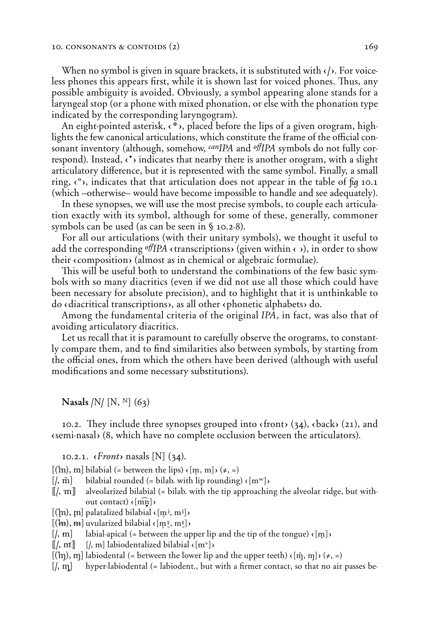When no symbol is given in square brackets, it is substituted with  $\langle \cdot \rangle$ . For voiceless phones this appears first, while it is shown last for voiced phones. Thus, any possible ambiguity is avoided. Obviously, a symbol appearing alone stands for a laryngeal stop (or a phone with mixed phonation, or else with the phonation type indicated by the corresponding laryngogram).

An eight-pointed asterisk,  $\langle$ \*), placed before the lips of a given orogram, highlights the few canonical articulations, which constitute the frame of the official consonant inventory (although, somehow, *canIPA* and *oƒIPA* symbols do not fully correspond). Instead,  $\langle \cdot \rangle$  indicates that nearby there is another orogram, with a slight articulatory difference, but it is represented with the same symbol. Finally, a small ring,  $\langle \,^{\circ} \rangle$ , indicates that that articulation does not appear in the table of *fig* 10.1 (which –otherwise– would have become impossible to handle and see adequately).

In these synopses, we will use the most precise symbols, to couple each articulation exactly with its symbol, although for some of these, generally, commoner symbols can be used (as can be seen in § 10.2-8).

For all our articulations (with their unitary symbols), we thought it useful to add the corresponding  $\partial f$ *IPA* (transcriptions) (given within  $\langle \rangle$ ), in order to show their  $\langle$  composition $\rangle$  (almost as in chemical or algebraic formulae).

This will be useful both to understand the combinations of the few basic symbols with so many diacritics (even if we did not use all those which could have been necessary for absolute precision), and to highlight that it is unthinkable to  $\phi$  (diacritical transcriptions), as all other (phonetic alphabets) do.

Among the fundamental criteria of the original *IPA*, in fact, was also that of avoiding articulatory diacritics.

Let us recall that it is paramount to carefully observe the orograms, to constantly compare them, and to find similarities also between symbols, by starting from the official ones, from which the others have been derived (although with useful modifications and some necessary substitutions).

Nasals **/***ö***/ (***ö***, Ñ)** (63)

10.2. They include three synopses grouped into  $\langle$  front $\rangle$  (34),  $\langle$  back $\rangle$  (21), and  $\epsilon$ semi-nasal $\epsilon$  (8, which have no complete occlusion between the articulators).

10.2.1.  $\langle$ *Front* $\rangle$  nasals [N] (34).

 $[(\hat{m}), \hat{m}]$  bilabial (= between the lips)  $\epsilon$  [m<sub>p</sub>, m] $\epsilon$  ( $\neq$ , =)

 $\left[ \right|$ ,  $\hat{m}$  bilabial rounded (= bilab. with lip rounding)  $\langle [m^w] \rangle$ 

[[], **m**] alveolarized bilabial (= bilab. with the tip approaching the alveolar ridge, but without contact)  $\langle [m\hat{n}] \rangle$ 

 $[(\n\mathbf{m}), \mathbf{m}]$  palatalized bilabial  $\{[\mathbf{m}^j, \mathbf{m}^j]\}$ 

 $[(\mathbf{h}, \mathbf{h})]$  uvularized bilabial  $(\mathbf{m}^{\gamma}, \mathbf{m}^{\gamma})$ 

 $\langle$ , **m** labial-apical (= between the upper lip and the tip of the tongue)  $\langle$  [m] $\rangle$ 

 $\llbracket$ ,  $\mathbf{m}\rrbracket$   $\llbracket$ ,  $\mathbf{m}\rrbracket$  labiodentalized bilabial  $\langle \mathbf{m}^{\mathbf{v}}\rbrack$ 

 $[(\hat{m}), \hat{m}]$  labiodental (= between the lower lip and the upper teeth)  $\langle [\hat{m}, \hat{m}] \rangle$  ( $\neq$ , =)

**(/, «)** hyper-labiodental (= labiodent., but with a firmer contact, so that no air passes be-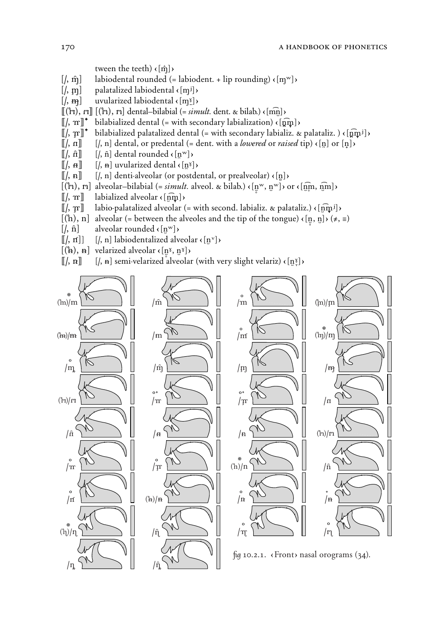tween the teeth)  $\langle \hat{\mathbf{n}} \rangle$ 

- $[$ ,  $\hat{m}$ } labiodental rounded (= labiodent. + lip rounding)  $\{ [m^w] \}$
- $[$ ,  $\mathbf{m}$  $]$  palatalized labiodental  $\{[\mathbf{m}^{\mathbf{j}}]\}$
- $[$ ,  $\mathbf{m}$   $]$  uvularized labiodental  $\{[\mathbf{m}^{\mathbf{x}}]\}$
- **(({µ}, ¯)) ({**]**}, N)** dental–bilabial (= *simult.* dent. " bilab.) ç**(mn**XÎ**)**<sup>Ç</sup>
- $[[\ell, \mathbf{m}]^*$  bilabialized dental (= with secondary labialization)  $\langle [\mathbf{m}]\rangle$
- $[[\ell, \pi]]^*$  bilabialized palatalized dental (= with secondary labializ. & palataliz. )  $\langle [\hat{\mathbf{n}} \hat{\mathbf{m}}^j] \rangle$
- $[[\ell, n]]$   $[[\ell, n]]$  dental, or predental (= dent. with a *lowered* or *raised* tip)  $\{[n] \times [n]\}$
- $[[\ell, \hat{\mathbf{n}}]]$   $[[\ell, \hat{\mathbf{n}}]$  dental rounded  $\langle [\mathbf{n}^{\mathbf{w}}] \rangle$
- $[[\mathbf{k}, \mathbf{a}]]$   $[[\mathbf{k}, \mathbf{a}]$  uvularized dental  $\langle [\mathbf{n}^{\gamma}] \rangle$
- **((/, n)) (/, n)** denti-alveolar (or postdental, or prealveolar) ç**(n)**¥ Ç
- $[(\hat{m}), \hat{m}]$  alveolar–bilabial (= *simult.* alveol. & bilab.)  $\{[\hat{m}^w, \hat{n}^w]\}$  or  $\{[\hat{m}\hat{m}, \hat{m}]\}$
- $\llbracket /$ ,  $\mathbf{m} \rrbracket$  labialized alveolar  $\langle \widehat{\mathsf{nm}} \rangle$
- *(a*) labio-palatalized alveolar (= with second. labializ. & palataliz.)  $\{[\hat{\mathbf{m}}_i^j] \}$
- $[(\hbar), \hbar]$  alveolar (= between the alveoles and the tip of the tongue)  $\langle [\hbar, \hbar], \hbar \rangle \neq \pm$
- $\left[ \left\langle \hat{n} \right\rangle \hat{n} \right]$  alveolar rounded  $\left\{ \left[ \hat{n}^{\mathrm{w}} \right] \right\}$
- $[[/, rf]]$   $[/, n]$  labiodentalized alveolar  $\langle [n^{\nu}] \rangle$
- $[(A), A]$  velarized alveolar  $\langle [n^{\gamma}, n^{\gamma}] \rangle$
- $[[/, n]]$   $[/, n]$  semi-velarized alveolar (with very slight velariz)  $\langle [n]^{\mathfrak{g}} \rangle$

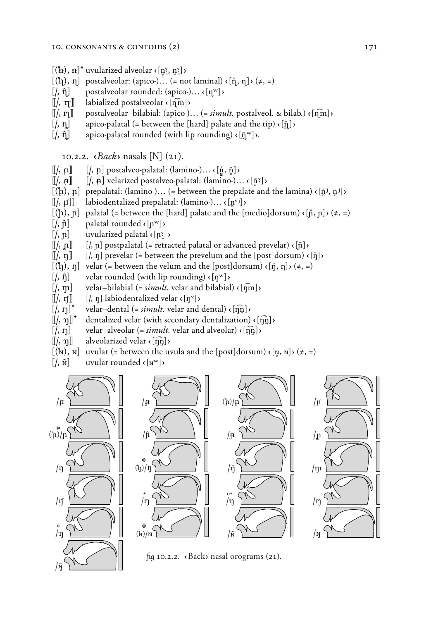- $[(**îA**), **îA**]<sup>†</sup>$  uvularized alveolar  $\langle [n \times n \times b] \rangle$
- $[(\hat{\mathbf{h}}), \mathbf{\eta}]$  postalveolar: (apico-)... (= not laminal)  $\langle [\hat{\mathbf{n}}, \mathbf{\eta}] \rangle$  ( $\neq$ , =)
- $\left[ \begin{matrix} , & \hat{\eta} \end{matrix} \right]$  postalveolar rounded: (apico-)...  $\left\{ \begin{matrix} \eta^w \end{matrix} \right\}$
- $[[\ell, \eta]]$  labialized postalveolar  $\epsilon$  [ $\eta$ m])
- $\llbracket$ , **r**<sub> $\rrbracket$ </sub> postalveolar–bilabial: (apico-)... (= *simult.* postalveol. & bilab.)  $\{ \hat{m} \}$
- $[$ ,  $\eta$  apico-palatal (= between the [hard] palate and the tip)  $\langle [\bar{\eta}] \rangle$
- $\left[ \right|, \hat{\eta} \right]$  apico-palatal rounded (with lip rounding)  $\left\{ \left[ \bar{\eta}^w \right] \right\}$ .

10.2.2.  $\langle Back \rangle$  nasals [N] (21).

- $\llbracket$ /,  $\uparrow \mathbf{I} \rrbracket$   $\qquad$  [/,  $\uparrow \mathbf{I}$ ] postalveo-palatal: (lamino-)...  $\langle \lbrack \mathbf{\hat{n}}, \mathbf{\hat{n}} \rbrack \rangle$
- $[[\ell, \mathbf{A}]]$   $[[\ell, \mathbf{A}]$  velarized postalveo-palatal: (lamino-)...  $\langle [\bar{\mathbf{A}}^{\mathbf{X}}] \rangle$
- $[(\hat{\mu}), \hat{\mu}]$  prepalatal: (lamino-)... (= between the prepalate and the lamina)  $(\hat{\mu}^j, \hat{\mu}^j)$
- **((/,** *√***))** labiodentalized prepalatal: (lamino-)… ç**(n**¥*√*J**)**Ç
- $[(\hat{h}), \hat{n}]$  palatal (= between the [hard] palate and the [medio]dorsum)  $(\hat{h}, \hat{n}) \neq$ , =)
- $[$ *i*,  $\hat{\bf{n}}$ <sup> $\bf{l}$ </sup> palatal rounded  $\langle {\bf [n^w]} \rangle$
- $\left[ \right|, \mathbf{p} \right]$  uvularized palatal  $\left\{ \left[ \mathbf{n}^{\mathbf{x}} \right] \right\}$
- $\llbracket$ ,  $\ln \rrbracket$   $\llbracket$ ,  $\ln \rrbracket$  postpalatal (= retracted palatal or advanced prevelar)  $\lceil \ln \rceil$
- $[[/, n]]$   $[/, n]$  prevelar (= between the prevelum and the [post]dorsum)  $\langle [n] \rangle$
- $[(\hat{\eta}), \eta]$  velar (= between the velum and the [post]dorsum)  $(\hat{\eta}, \eta]$  $(\neq, =)$
- $[$ ,  $\hat{\eta}$  **d** velar rounded (with lip rounding)  $\langle \eta^w \rangle$
- $[$ ,  $\eta$ ] velar-bilabial (= *simult.* velar and bilabial)  $\{ \widehat{\eta}$ m] $\}$
- 
- $[[/, rf]]$   $[/, nj]$  labiodentalized velar ⟨[ŋ<sup>ν</sup>]⟩ <br> $[/, r]$ <sup>+</sup> velar-dental (= *simult*. velar and  $\text{velar}-\text{dental}$  (= *simult.* velar and dental)  $\langle \hat{n}|\hat{n}\rangle$
- $[[\ell, \eta]]^*$  dentalized velar (with secondary dentalization)  $\langle [\eta \hat{\mathbf{n}}] \rangle$
- $[$ , **n** $]$  velar–alveolar (= *simult.* velar and alveolar)  $\{[\hat{\mathbf{n}}]\}$
- $[[\,, \eta]]$  alveolarized velar  $\langle [\eta]_1^{\eta}] \rangle$
- $[(\mathbf{h}), \mathbf{h}]$  uvular (= between the uvula and the  $[post]dorsum$ )  $(\mathbf{h}, \mathbf{h})$ ,  $(\neq, =)$
- $\left[ \left\langle \hat{n} \right\rangle \hat{n} \right]$  uvular rounded  $\left\{ \left[ n^{\mathrm{w}} \right] \right\}$

**/***ó* 



*fu* 10.2.2. «Back» nasal orograms (21).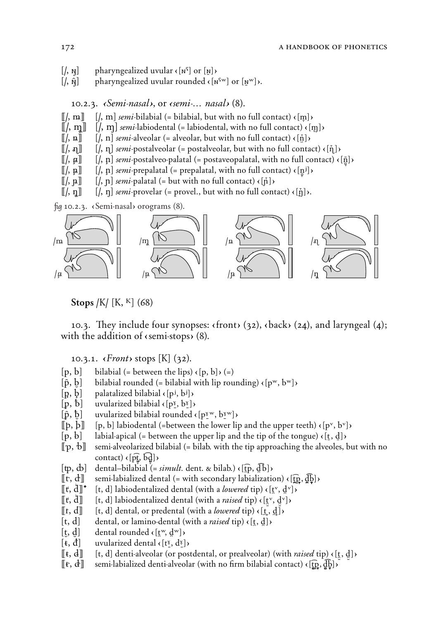- $\left[ \right|, \mathbf{N} \right]$  pharyngealized uvular  $\left\{ \left[ \mathbf{N}^{\mathsf{T}} \right] \text{ or } \left[ \mathbf{N} \right] \right\}$
- $[$ ,  $\hat{N}$ } pharyngealized uvular rounded  $\kappa$  [ $N^{rw}$ ] or [ $N^{rw}$ ]  $\kappa$ .

10.2.3. <sup>è</sup>*Semi-nasal*¶, or è*semi-… nasal*¶ (8).

- $[[/, m]]$   $[[/, m]$  *semi*-bilabial (= bilabial, but with no full contact)  $\{[m] \}$ ,  $[[/, m]]$   $[[/, m]$  *semi*-labiodental (= labiodental, with no full contact)  $\{[m] \}$
- $\left[\frac{\mu}{\pi}\right]$  *semi*-labiodental (= labiodental, with no full contact)  $\left\{\frac{m}{\mu}\right\}$
- $\llbracket$ , **a** $\rrbracket$   $\llbracket$ , **n** $\rrbracket$  *semi*-alveolar (= alveolar, but with no full contact)  $\langle \cdot | \cdot | \cdot \rangle$
- $[[/, \mathfrak{n}]]$   $[[/, \mathfrak{n}]$  *semi*-postalveolar (= postalveolar, but with no full contact)  $\{\tilde{\mathfrak{n}}\}$
- $\llbracket$ /,  $\lbrack \mu \rbrack$   $\llbracket$  /,  $\lbrack \mu \rbrack$  *semi*-postalveo-palatal (= postaveopalatal, with no full contact) **{** $\lbrack \bar{n} \rbrack$ }
- $\llbracket$ /,  $\mu$  $\rrbracket$   $\llbracket$ /,  $\mu$  $\rrbracket$  *semi*-prepalatal (= prepalatal, with no full contact)  $\epsilon$  [ $\mu$ <sup>j</sup>] $\epsilon$
- $\llbracket$ /,  $\llbracket$ ,  $\llbracket$  /,  $\llbracket$  *n semi*-palatal (= but with no full contact)  $\langle \llbracket \tilde{n} \rrbracket$
- $[[\,, \eta\,]]$   $[[, \eta\,]$  *semi*-provelar (= provel., but with no full contact)  $\{\tilde{[}\}\)$ .

*fu* 10.2.3. (Semi-nasal) orograms (8).



 $\frac{1}{2}$  Stops /K/ [K, <sup>K</sup>] (68)

10.3. They include four synopses:  $\langle$  front $\rangle$  (32),  $\langle$  back $\rangle$  (24), and laryngeal (4); with the addition of  $\langle$ semi-stops $\rangle$  (8).

10.3.1.  $\langle$ *Front* $\rangle$  stops [K] (32).

- $[p, b]$  bilabial (= between the lips)  $\langle [p, b] \rangle$  (=)
- $[\hat{p}, \hat{b}]$  bilabial rounded (= bilabial with lip rounding)  $\langle [p^w, b^w] \rangle$
- $[p, b]$  palatalized bilabial  $\langle [p^j, b^j] \rangle$
- $[p, b]$  uvularized bilabial  $\{p_1, p_2\}$
- $[\hat{p}, \hat{b}]$  uvularized bilabial rounded  $\langle p^{\text{sw}}, b^{\text{sw}} \rangle$
- $[\![\mathbf{p}, \mathbf{b}]\!]$   $[\![\mathbf{p}, \mathbf{b}]\!]$  labiodental (=between the lower lip and the upper teeth)  $\langle [\mathbf{p}^{\mathbf{v}}, \mathbf{b}^{\mathbf{v}}] \rangle$
- $[p, b]$  labial-apical (= between the upper lip and the tip of the tongue)  $\{[\underline{t}, \underline{d}]\}$
- **((***Q***,** *Á***))** semi-alveolarized bilabial (= bilab. with the tip approaching the alveoles, but with no  $\mathbf{const}$ )  $\mathbf{r}$   $[\mathbf{p_{t}^{\mathbf{r}}}, \mathbf{b_{d}^{\mathbf{d}}}]$
- $[\uparrow, \uparrow]$  dental–bilabial (= *simult.* dent. & bilab.)  $\langle [\uparrow, \downarrow]$
- $[\![ \mathbf{r}, \mathbf{d} ]\!]$  semi-labialized dental (= with secondary labialization)  $\langle [\![ \mathbf{p}, \mathbf{d} ]\!]$  $\rangle$
- $[[t, d]]^*$  [t, d] labiodentalized dental (with a *lowered* tip) ⟨[t̪<sup>v</sup>, d̪<sup>v</sup>]⟩
- **((***˛***,** *Ã***)) (t, d)** labiodentalized dental (with a *raised* tip) ç**(t**Y:*√***, d**:Y*√***)**Ç
- $[[t, d]]$   $[t, d]$  dental, or predental (with a *lowered* tip)  $\langle [\underline{t}, \underline{d}] \rangle$
- $[t, d]$  dental, or lamino-dental (with a *raised* tip)  $\{[t, d]\}$
- $[t, d]$  dental rounded  $\langle [t^w, d^w] \rangle$
- $[\mathbf{t}, \mathbf{d}]$  uvularized dental  $\mathbf{c}$  [ $\mathbf{t}^{\gamma}$ ,  $\mathbf{d}^{\gamma}$ ]
- $[\![ \mathbf{t}, \mathbf{d} ]\!]$  [t, d] denti-alveolar (or postdental, or prealveolar) (with *raised* tip)  $\{ [\![ \mathbf{t}, \mathbf{d} ] \}$
- $[\![ \mathbf{f}, \mathbf{d} ]\!]$  semi-labialized denti-alveolar (with no firm bilabial contact)  $\{[\![ \mathbf{p}, \mathbf{d} ]\!]$ )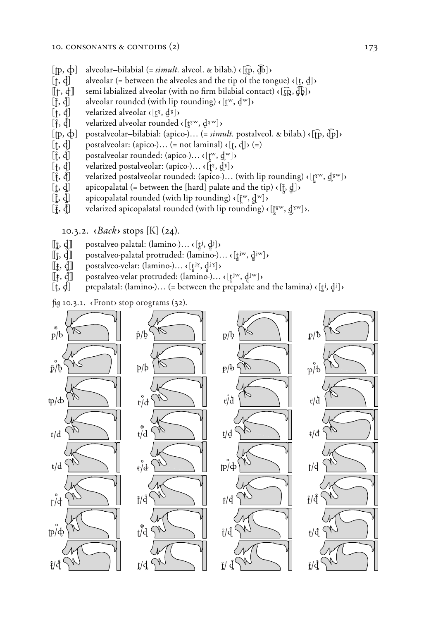- $[$ **[p**,  $\dot{\phi}$ ] alveolar–bilabial (= *simult.* alveol. & bilab.)  $\langle$  [**t**͡p,  $\overline{d}$ b] $\rangle$
- $[f, d]$  alveolar (= between the alveoles and the tip of the tongue)  $\{[t, d]\}$
- $[\![f, \phi]\!]$  semi-labialized alveolar (with no firm bilabial contact)  $\langle [\![\hat{f}, \hat{d}]\!]$  alveolar rounded (with lip rounding)  $\langle [\![\hat{f}, \hat{d}]\!] \rangle$
- alveolar rounded (with lip rounding)  $\left\{ \left[ t^w, d^w \right] \right\}$
- 
- **(f**, **d**] velarized alveolar **c**[t̪ˠ, d̪ˠ]**›**<br>[͡f, d͡j] velarized alveolar rounded *x l***<sub>Σ</sub><b>***v velarized alveolar rounded*  $\left\{ \left[ \frac{t}{k} \mathbb{I}^{w}, \frac{d}{k} \mathbb{I}^{w} \right] \right\}$
- $[\![\mathbf{p}, \Phi]\!]$  postalveolar-bilabial: (apico-)… (= *simult.* postalveol. & bilab.)  $\{[\![\mathbf{p}, \Phi]\!]$  postalveolar: (apico-)… (= not laminal)  $\{[\![t, \Phi]\!]$   $\rangle$  (=)
- postalveolar: (apico-)... (= not laminal)  $\left\{ \left[ \cdot, \cdot \right] \right\}$  (=)
- **(***t***,** *∂***)** postalveolar rounded: (apico-)… ç**(˛***π*"**, Ã**Î "**)**Ç
- 
- **(¥, ƒ)** velarized postalveolar: (apico-)… ç**(˛***π*ˆ**, Ã**Î ˆ**)**Ç *xelarized postalveolar rounded: (apico-)... (with lip rounding)*  $\{[\mathbf{r}^w, \mathbf{d}^w]\}$
- 
- **(***Ï***, í)** apicopalatal rounded (with lip rounding) ç**(˛**."*π* **, Ã**: "Î **)**Ç
- **(f**, **d**] apicopalatal (= between the [hard] palate and the tip)  $\langle [\tilde{f}, \tilde{f}], \tilde{f}]$ : apicopalatal rounded (with lip rounding)  $\langle [\tilde{f}^w, \tilde{g}]^w \rangle$ <br> **(f**, **d**̃) velarized apicopalatal rounded (with lip rounding **(***Ä***,** *˛***)** velarized apicopalatal rounded (with lip rounding) ç**(˛**.ˆ"*π* **, Ã**Î:ˆ"**)**Ç.

10.3.2.  $\langle Back \rangle$  stops  $[K]$  (24).

- 
- **([t**, **d**]] postalveo-palatal: (lamino-)… <  $[\underline{t}^j, \underline{d}^j]$ }<br>**[[**t, **d**]] postalveo-palatal protruded: (lamino-). **((t, d))** postalveo-palatal protruded: (lamino-)… ç**(t**:J"¥ **, d**:J"¥ **)**Ç
- $[\![\mathbf{t}, \mathbf{d}]\!]$  postalveo-velar: (lamino-)...  $\{[\mathbf{t}^{j\delta}, \mathbf{d}^{j\delta}]\}$
- $[\![\mathbf{t}, \mathbf{d}]\!]$  postalveo-velar protruded: (lamino-)... < $[\mathbf{t}^{\text{jw}}, \mathbf{d}^{\text{jw}}]$
- $[\mathbf{t}, \mathbf{d}]$  prepalatal: (lamino-)... (= between the prepalate and the lamina)  $\mathbf{c}[\mathbf{t}^j, \mathbf{d}^j]$

fig 10.3.1. «Front» stop orograms (32).

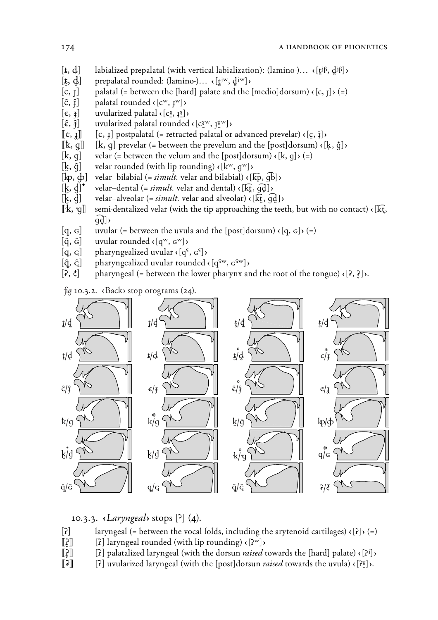- $[\mathbf{t}, \mathbf{d}]$  labialized prepalatal (with vertical labialization): (lamino-)...  $\{\mathbf{t}^{j\beta}, \mathbf{d}^{j\beta}\}\$
- $[\mathbf{t}, \mathbf{d}]$  prepalatal rounded: (lamino-)...  $\mathbf{d}[\mathbf{t}^{\text{jw}}, \mathbf{d}^{\text{jw}}]$
- $[c, 1]$  palatal (= between the [hard] palate and the [medio]dorsum)  $\left\{c, 1\right\}$  $(=)$
- $[\hat{c}, \hat{i}]$  palatal rounded  $\langle [c^w, i^w] \rangle$
- $[\epsilon, \epsilon]$  uvularized palatal  $\epsilon$  [c<sup>x</sup><sub>2</sub>,  $\epsilon$ <sup>x</sup><sup>3</sup>] $\epsilon$
- $[\hat{\epsilon}, \hat{\epsilon}]$  uvularized palatal rounded  $\langle [c_2^{\text{w}}, j_2^{\text{w}}] \rangle$ <br> $[\![\mathbf{c}, \mathbf{j}]\!]$   $[\![\mathbf{c}, \mathbf{j}]\!]$  postpalatal (= retracted palatal or
- $[c, 1]$  postpalatal (= retracted palatal or advanced prevelar)  $(c, \overline{i})$
- $[[k, q]]$   $[[k, q]]$  prevelar (= between the prevelum and the [post]dorsum)  $\kappa$ [k̯, ĝ] $\kappa$
- $[k, g]$  velar (= between the velum and the  $[post]$ dorsum)  $\left\{k, g\right\}$  $(=)$
- 
- $[\mathbf{k}, \hat{\mathbf{g}}]$  velar rounded (with lip rounding)  $\mathbf{k}$ [ $\mathbf{k}$ <sup>w</sup>, g<sup>w</sup>]) <br>[ $[\mathbf{k}$ p,  $\mathbf{\dot{\phi}}]$  velar-bilabial (= *simult*. velar and bilabial)  $\mathbf{\dot{\psi}}$  $\mathbf{v}$ elar–bilabial (= *simult.* velar and bilabial)  $\langle \mathbf{F}, \mathbf{F}, \mathbf{F} \rangle$
- $[\mathbf{k}, \mathbf{d}]^*$  velar-dental (= *simult.* velar and dental)  $\mathbf{k}[\mathbf{k}, \mathbf{d}]$ )
- 
- $[\mathbf{k}, \mathbf{d}]$  velar–alveolar (= *simult*. velar and alveolar)  $\mathbf{k}$  ( $\mathbf{k}$ ,  $\mathbf{d}$ ])<br> $[\mathbf{k}, \mathbf{g}]$  semi-dentalized velar (with the tip approaching the tee (kt) semi-dentalized velar (with the tip approaching the teeth, but with no contact)  $\epsilon$  $\overline{q}$  $\overline{d}$  $\overline{d}$
- $[q, G]$  uvular (= between the uvula and the  $[post]dorsum$ )  $\cdot$   $[q, G]$ ) (=)
- $[\hat{q}, \hat{G}]$  uvular rounded  $\langle [q^w, q^w] \rangle$
- $[q, q]$  pharyngealized uvular  $\langle [q^s, q^s] \rangle$
- $[\hat{q}, \hat{q}]$  pharyngealized uvular rounded  $\langle [q^{\text{fw}}, q^{\text{fw}}] \rangle$
- $[\hat{\mathbf{r}}, \hat{\mathbf{t}}]$  pharyngeal (= between the lower pharynx and the root of the tongue)  $\{[\hat{\mathbf{r}}, \hat{\mathbf{t}}]\}$ .

*fig* 10.3.2. «Back» stop orograms (24).



#### 10.3.3. è*Laryngeal*¶ stops **(,)** (4).

- $[2]$  laryngeal (= between the vocal folds, including the arytenoid cartilages)  $\langle [2] \rangle$  (=)
- $\left[\begin{bmatrix} 2 \end{bmatrix}\right]$  laryngeal rounded (with lip rounding)  $\left\{ \begin{bmatrix} 2^w \end{bmatrix} \right\}$
- **((**\_**)) (ö)** palatalized laryngeal (with the dorsun *raised* towards the {hard} palate) ç**(ö**J**)**Ç
- $\llbracket \mathbf{\hat{z}} \rrbracket$  [2] uvularized laryngeal (with the [post]dorsun *raised* towards the uvula)  $\langle \mathbf{z} \rangle$ .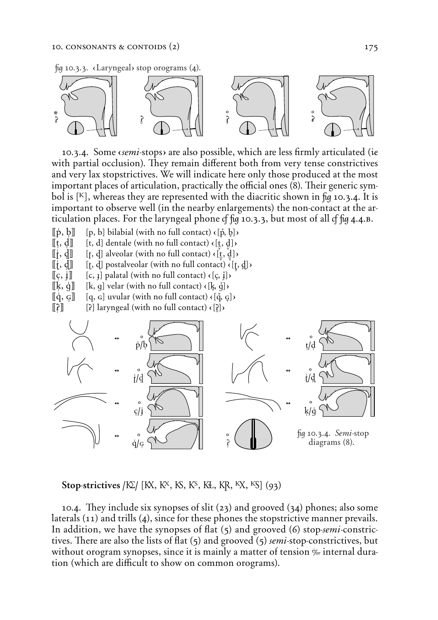*fig* 10.3.3. «Laryngeal» stop orograms (4).



10.3.4. Some *semi*-stops are also possible, which are less firmly articulated (*ie* with partial occlusion). They remain different both from very tense constrictives and very lax stopstrictives. We will indicate here only those produced at the most important places of articulation, practically the official ones (8). Their generic symbol is **(K)**, whereas they are represented with the diacritic shown in *û* 10.3.4. It is important to observe well (in the nearby enlargements) the non-contact at the articulation places. For the laryngeal phone *Ô û* 10.3.3, but most of all *Ô û* 4.4.∫.

- $\begin{bmatrix} \phi, \phi \end{bmatrix}$  [p, b] bilabial (with no full contact)  $\langle \phi, \phi \rangle$
- $[[t, d]]$   $[t, d]$  dentale (with no full contact)  $\{[\underline{t}, \underline{d}]\}$

 $[\![\mathbf{r}, \mathbf{d}]\!]$  [**f**, **d**] alveolar (with no full contact)  $\{\mathbf{r}, \mathbf{d}\}$ 

- $[[\mathbf{i}, \mathbf{d}]]$  [t, d] postalveolar (with no full contact)  $\langle [\mathbf{t}, \mathbf{d}] \rangle$
- $\left[ \left[ \mathbf{c}, \mathbf{i} \right] \right]$   $\left[ \mathbf{c}, \mathbf{i} \right]$  palatal (with no full contact)  $\left\{ \left[ \mathbf{c}, \mathbf{i} \right] \right\}$
- $[[\mathbf{k}, \dot{\mathbf{g}}]]$   $[[\mathbf{k}, \mathbf{g}]$  velar (with no full contact)  $\langle [\mathbf{k}, \ddot{\mathbf{q}}] \rangle$
- $\left[\![\dot{q}, \varphi]\!]$   $\left[\![q, \varphi]\right]$  uvular (with no full contact)  $\{\![\dot{q}, \varphi]\}$
- $\left[\begin{bmatrix} \n\mathbf{r} \end{bmatrix}\right]$  [2] laryngeal (with no full contact)  $\left[\begin{bmatrix} \n\mathbf{r} \end{bmatrix}\right]$



**Stop-strictives /***K***<sub>2</sub>** *(K***<sub>2</sub>**, *K***<sub>3</sub>**, *K***<sub>3</sub>,** *K***<sub>5</sub>,** *K***<sub>3</sub>,** *K***<sub>2</sub>,** *K***<sub>3</sub>,** *K***<sub>3</sub>,** *C***<sub>93</sub>,** *C***<sub>1</sub>,** *C***<sub>1</sub>,** *C***<sub>1</sub>,** *C***<sub>1</sub>,** *C***<sub>1</sub>,** *C***<sub>1</sub>,** *C***<sub>1</sub>,** *C***<sub>1</sub>,** *C***<sub>1</sub>,** *C***<sub>1</sub>,** *C***<sub>1</sub>,** *C***<sub>1</sub>,** *C***<sub>1</sub>,** *C***<sub>1</sub>,** 

10.4. *They include six synopses of slit* (23) and grooved (34) phones; also some laterals (11) and trills (4), since for these phones the stopstrictive manner prevails. In addition, we have the synopses of flat (5) and grooved (6) stop-*semi*-constrictives. There are also the lists of flat (5) and grooved (5) *semi*-stop-constrictives, but without orogram synopses, since it is mainly a matter of tension  $\frac{1}{r}$  internal duration (which are difficult to show on common orograms).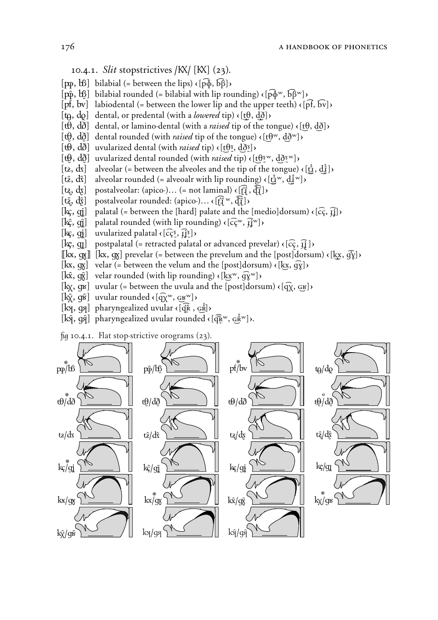# 10.4.1. *Slit* stopstrictives **/**`**/ (**`**)** (23).

- $[p\phi, \phi]$  bilabial (= between the lips)  $\langle [\phi, \phi], [\phi] \rangle$
- $[p\hat{\phi}, b\hat{\phi}]$  bilabial rounded (= bilabial with lip rounding)  $\{p\hat{\phi}^w, b\hat{\beta}^w\}$
- $[pf, bv]$  labiodental (= between the lower lip and the upper teeth)  $\langle [pf, bv] \rangle$
- $[\mathbf{t}_\mathbf{\theta}, \mathbf{d}_\mathbf{\theta}]$  dental, or predental (with a *lowered* tip)  $\mathbf{c}$  [t $\mathbf{\theta}, \mathbf{d}_\mathbf{\theta}$ ] $\mathbf{d}$
- $[\hat{t}\theta, d\delta]$  dental, or lamino-dental (with a *raised* tip of the tongue)  $\{[\hat{t}\theta, d\delta]\}$
- $[\hat{\theta}, \hat{d}\hat{\theta}]$  dental rounded (with *raised* tip of the tongue)  $\langle [\hat{\theta}^w, \hat{d}\hat{\theta}^w] \rangle$
- $[\mathbf{t}\mathbf{\Theta}, \mathbf{d}\mathbf{\mathbf{\mathring{d}}}$  uvularized dental (with *raised* tip)  $\mathbf{\Theta}(\mathbf{t}\mathbf{\Theta}^{\mathbf{x}}, \mathbf{d}\mathbf{\mathbf{\mathring{d}}}^{\mathbf{x}})$  ( $[\mathbf{t}\mathbf{\Theta}, \mathbf{d}\mathbf{\mathring{d}}]$  uvularized dental rounded (with *raised* tip)  $\mathbf{\Theta}(\mathbf{t})$
- **(,** *∞***)** uvularized dental rounded (with *raised* tip) ç**(t**x**†**ˆ&"**, d**x**∑**ˆ&"**)**Ç
- $[\mathbf{t}_2, \mathbf{d}_\mathbf{X}]$  alveolar (= between the alveoles and the tip of the tongue)  $\{\begin{bmatrix} \mathbf{t}_1^{\mathbf{t}}, \mathbf{d}_\mathbf{X}^{\mathbf{t}} \end{bmatrix}\}$
- $[\hat{t}, \hat{d}^{\text{c}}]$  alveolar rounded (= alveoalr with lip rounding)  $\langle [\hat{t}, w^{\text{c}}], \hat{d}^{\text{c}} \rangle$
- $[\mathbf{t}_i, \mathbf{d}_i]$  postalveolar: (apico-)... (= not laminal)  $\mathbf{c}[\hat{\mathbf{H}}, \hat{\mathbf{d}}_i]$ )
- $[\mathbf{t}\hat{a}, \mathbf{d}\hat{b}]$  postalveolar rounded: (apico-)...  $\mathbf{f}[\hat{a}, \hat{b}^T]$ )
- $[\mathbf{k}\mathbf{c}, \mathbf{g}]$  palatal (= between the [hard] palate and the [medio]dorsum)  $\mathbf{c}(\mathbf{c}, \mathbf{f})$
- $[\mathbf{k}\hat{\mathbf{g}}, \hat{\mathbf{g}}]$  palatal rounded (with lip rounding)  $\mathbf{\hat{e}}(\mathbf{\hat{g}}^{\mathbf{w}}, \mathbf{\hat{g}}^{\mathbf{w}})$
- $[\mathbf{k}\xi, \mathbf{q}\mathbf{i}]$  uvularized palatal  $\{\overrightarrow{c}\mathbf{q}\}\mathbf{q}$ ,  $\overrightarrow{f}\mathbf{i}\mathbf{i}^{\mathbf{k}}$
- $[\mathbf{k}\,mathbf{x},\, \mathbf{q}]$  postpalatal (= retracted palatal or advanced prevelar)  $\{[\mathbf{c}\,mathbf{c},\mathbf{q}]\}$
- $[[\mathbf{k}\mathbf{x}, \mathbf{q}\mathbf{x}]]$   $[\mathbf{k}\mathbf{x}, \mathbf{q}\mathbf{x}]$  prevelar (= between the prevelum and the [post]dorsum)  $\{[\mathbf{k}\mathbf{x}, \mathbf{q}\mathbf{\bar{y}}]\}$
- $[\mathbf{k} \mathbf{x}, \mathbf{q} \mathbf{x}]$  velar (= between the velum and the  $[\text{post}]$ dorsum)  $\{[\mathbf{k} \mathbf{x}, \mathbf{q} \mathbf{y}]\}$
- $[\mathbf{k}\hat{\mathbf{x}}, \hat{\mathbf{g}}\hat{\mathbf{g}}]$  velar rounded (with lip rounding)  $\mathbf{K}[\mathbf{k}\mathbf{x}^w, \hat{\mathbf{g}}\hat{\mathbf{g}}\mathbf{w}]$
- $[\mathbf{k} \times \mathbf{k} \times \mathbf{k}]$  uvular (= between the uvula and the [post]dorsum)  $\mathbf{k}$   $[\mathbf{q} \times \mathbf{k} \times \mathbf{k}]$
- $[\mathbf{k}\hat{\mathbf{x}}, \hat{\mathbf{g}}\hat{\mathbf{s}}]$  uvular rounded  $\mathbf{k}$   $[\mathbf{q}\hat{\mathbf{x}}^{\mathbf{w}}, \mathbf{g}\hat{\mathbf{s}}^{\mathbf{w}}]$
- $[\mathbf{k}$ **k** $[\mathbf{q}^{\mathbf{k}}_k, \mathbf{q}^{\mathbf{k}}_k]$  pharyngealized uvular  $\mathbf{q}$  ( $[\mathbf{q}^{\mathbf{k}}_k, \mathbf{q}^{\mathbf{k}}_k]$ )
- $[\mathbf{k}\hat{\mathbf{q}}, \hat{\mathbf{q}}\hat{\mathbf{q}}]$  pharyngealized uvular rounded  $\mathbf{k}[\hat{\mathbf{q}}_k^{\text{Fw}}, \hat{\mathbf{q}}_k^{\text{Fw}}]$ ).

*û* 10.4.1. *∫*at stop-strictive orograms (23).

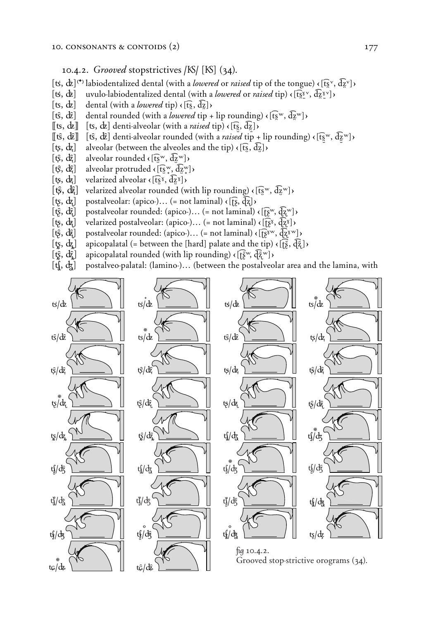#### 10.4.2. *Grooved* stopstrictives **/**Ô**/ (**Ô**)** (34).

- $[\mathbf{t}, \mathbf{d} \mathbf{z}]^{(\cdot)}$  labiodentalized dental (with a *lowered* or *raised* tip of the tongue)  $\mathbf{f}(\mathbf{f}\mathbf{x}^{\mathbf{v}}, \mathbf{d} \mathbf{z}^{\mathbf{v}})$
- $[$ **&**,  $d\mathbf{\hat{z}}]$  uvulo-labiodentalized dental (with a *lowered* or *raised* tip)  $\left\{ \{\mathbf{f}\}\mathbf{x}^{\mathbf{y}}, \mathbf{d}\mathbf{z}^{\mathbf{y}\mathbf{y}} \right\}$
- $\lceil \mathbf{ts}, \mathbf{d} \mathbf{z} \rceil$  dental (with a *lowered* tip)  $\lceil \mathbf{t} \rceil$ ,  $\lceil \mathbf{d} \rceil$ )
- $[$ **f**§,  $d\hat{z}$  $]$  dental rounded (with a *lowered* tip + lip rounding)  $\epsilon$   $[$ f $\tilde{S}$ <sup>w</sup>,  $d\tilde{z}$ <sup>w</sup> $]$
- $[\![\mathbf{ts}, \mathbf{dz}]\!]$  [**ts**,  $\mathbf{dz}\!]$  denti-alveolar (with a *raised* tip)  $\mathbf{c}$ [t͡s̪, d͡g])
- $[{\bf f}\hat{\bf g}, {\bf d}\hat{\bf z}]$  [ ${\bf f}\hat{\bf g}, {\bf d}\hat{\bf z}$ ] denti-alveolar rounded (with a *raised* tip + lip rounding)  $\langle [{\bf f}\hat{\bf g}^{\rm w}, {\bf d}\hat{\bf z}^{\rm w}] \rangle$
- $[\mathbf{t}\mathbf{s}, \mathbf{d}\mathbf{z}]$  alveolar (between the alveoles and the tip)  $\mathbf{c}[\mathbf{t}\mathbf{s}, \mathbf{d}\mathbf{z}]$ )
- $[$ **f**§, **d** $\hat{\mathbf{z}}$ <sup>*n*</sup> alveolar rounded  $\langle$   $[\mathbf{t},\mathbf{s}^{\mathrm{w}}, \mathbf{d}\mathbf{z}^{\mathrm{w}}]$  $\rangle$
- $[\mathbf{t}\hat{\beta}, \mathbf{d}\hat{\zeta}]$  alveolar protruded  $\mathbf{c}$  [ $\mathbf{t}\hat{\mathbf{s}}$ <sup>w</sup>,  $\mathbf{d}$  $\mathbf{z}$ <sup>w</sup>])
- $[\mathbf{t}\mathbf{\hat{s}}, \mathbf{d}\mathbf{\hat{z}}]$  velarized alveolar  $\mathbf{\hat{e}}$  [ $\mathbf{\hat{t}}\mathbf{\hat{s}}$ <sup>x</sup>,  $\mathbf{\hat{d}}\mathbf{\hat{z}}$ <sup>x</sup>] $\mathbf{\hat{e}}$
- $[\hat{\mathfrak{g}}, \hat{\mathfrak{g}}]$  velarized alveolar rounded (with lip rounding)  $\langle [\hat{\mathfrak{g}}^w, \hat{\mathfrak{g}}^w] \rangle$
- $[\mathbf{t}_\mathbf{S}, \mathbf{d}_\mathbf{Z}]$  postalveolar: (apico-)... (= not laminal)  $\mathbf{f}[\mathbf{S}, \mathbf{d}_\mathbf{Z}]$ )
- **(t͡β**, d͡k͡] postalveolar rounded: (apico-)... (= not laminal) < [t͡β<sup>w</sup>, d͡k͡<sup>w</sup>]>
- **(Ã, Ó)** velarized postalveolar: (apico-)… (= not laminal) ç**(˛**X*ß*ˆ**, Ã**X*Ω*ˆ**)**Ç
- **(i**ξ*i***,** *d***</u><sub>***i***</sub>***(k***<sub>***i***</sub><sup>***z***</sup><sup>***x***</sup>** $\rightarrow$ *(k***<sub>***i***</sub>** $\frac{1}{2}$ *i* $\frac{1}{2}$ *i* $\frac{1}{2}$ *i* $\frac{1}{2}$ *i* $\frac{1}{2}$ *i* $\frac{1}{2}$ *i* $\frac{1}{2}$ *i* $\frac{1}{2}$ *i* $\frac{1}{2}$ *i* $\frac{1}{2}$ *i* $\frac{1}{2}$ *i* $\frac{1}{2}$ *i* $\frac{1}{2}$ *i*
- $[\mathbf{t}_{\mathbf{S}}, \mathbf{d}_{\mathbf{Z}}]$  apicopalatal (= between the [hard] palate and the tip)  $\mathbf{c}$  [ $\mathbf{t}_{\mathbf{S}}$ ,  $\mathbf{d}_{\mathbf{Z}}$ ]  $\mathbf{c}$
- $[$ **t** $\hat{\mathbf{g}}, \, d\hat{\mathbf{z}}$  $]$  apicopalatal rounded (with lip rounding)  $\langle [\hat{\mathbf{g}}^w, \hat{d}\hat{\mathbf{z}}^w] \rangle$
- [t], dz] postalveo-palatal: (lamino-)... (between the postalveolar area and the lamina, with

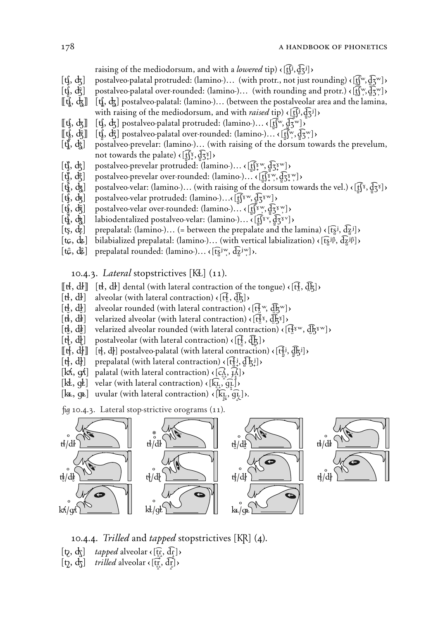raising of the mediodorsum, and with a *lowered* tip)  $\langle \text{f}(\vec{f})$ ,  $\vec{f}(\vec{f})$ 

- $[f, d, d]$  postalveo-palatal protruded: (lamino-)... (with protr., not just rounding)  $\langle f(x), d(x) \rangle$
- **(if)**,  $d\hat{f}$ ] postalveo-palatal over-rounded: (lamino-)... (with rounding and protr.)  $\epsilon$  [t͡ʃʷ, d͡ʒʷ]  $\epsilon$
- **((C, G)) (C, ')** postalveo-palatal: (lamino-)… (between the postalveolar area and the lamina, with raising of the mediodorsum, and with *raised* tip)  $\left( \begin{bmatrix} \hat{f} \\ f \end{bmatrix}, \hat{d} \begin{bmatrix} \hat{f} \\ \hat{f} \end{bmatrix} \right)$
- $[\![\mathbf{t}\mathbf{f},\mathbf{d}\mathbf{z}]\!]$   $[\![\mathbf{t}\mathbf{f},\mathbf{d}\mathbf{z}]\!]$  postalveo-palatal protruded: (lamino-)...  $\{\![\mathbf{f}\mathbf{f}^{\mathbf{w}},\mathbf{d}\mathbf{z}^{\mathbf{w}}]\}$
- $[[\mathbf{t}\hat{\mathbf{j}}, \mathbf{d}\hat{\mathbf{z}}]]$   $[[\mathbf{t}\hat{\mathbf{j}}, \mathbf{d}\hat{\mathbf{z}}]]$  postalveo-palatal over-rounded: (lamino-)...  $\mathbf{f}([\mathbf{x}, \mathbf{d}\mathbf{z}^{\mathbf{w}}])$
- **(***∫***,** *Ê***)** postalveo-prevelar: (lamino-)… (with raising of the dorsum towards the prevelum, not towards the palate)  $\{[\underline{f}(\underline{x}, \underline{d}\underline{x})] \}$
- $[$ **t͡ỷ**,  $d$ ğ $]$  postalveo-prevelar protruded: (lamino-)... <  $[$ τ͡ʃ $\Omega$ \*ʷ $]$ ,  $[$  $\overline{G}$ \* $\Omega$ \* $]$
- $[\mathbf{t}\hat{\mathbf{y}}, \mathbf{d}\hat{\mathbf{z}}]$  postalveo-prevelar over-rounded: (lamino-)…  $\mathbf{c}$  [t͡ʃ $\mathbf{x}^{\text{w}}, \mathbf{d}\mathbf{z}\mathbf{x}^{\text{w}}$ ] $\mathbf{c}$
- *C***EQ**,  $d\overline{x}$ ] postalveo-velar: (lamino-)... (with raising of the dorsum towards the vel.)  $\langle f_1 \overline{f} \overline{f}, \overline{g} \overline{f} \overline{f} \rangle$
- $[f, \frac{1}{2}, \frac{1}{2}, \frac{1}{2}]$  postalveo-velar protruded: (lamino-)... ( $[f^x, \frac{1}{2}, \frac{1}{2}]$ )
- **(***8***,** *{***)** postalveo-velar over-rounded: (lamino-)… ç**(**:¥**t**X**S**ˆ"g **, d**:¥X**Z**ˆ"g **)**Ç
- *(i)*,  $d_{\tilde{z}}$  labiodentalized postalveo-velar: (lamino-)… ∢[t͡ʃˠ<sup>v</sup>, d͡ʒˠ<sup>v</sup>])
- $[$ t $\mathbf{g}, \mathbf{d}$ <sub> $\mathbf{z}$ </sub>] prepalatal: (lamino-)... (= between the prepalate and the lamina)  $\mathbf{f}$ ( $\mathbf{f}\mathbf{g}$  $\mathbf{i}, \mathbf{d}\mathbf{z}$  $\mathbf{i}$ )
- $[\mathbf{t}_{\mathcal{G}}, \mathbf{d}_{\mathbf{z}}]$  bilabialized prepalatal: (lamino-)... (with vertical labialization)  $\langle [\mathbf{f}, \mathbf{d}, \mathbf{z}] \rangle$
- $[\mathbf{t}\hat{\mathbf{\mathcal{G}}}, \mathbf{d}\hat{\mathbf{\mathcal{Z}}}$ ] prepalatal rounded: (lamino-)...  $\mathbf{\mathcal{G}}[\mathbf{t}\hat{\mathbf{S}}^{\text{Jw}}, \mathbf{d}\hat{\mathbf{\mathcal{Z}}}^{\text{Jw}}]$ ).

10.4.3. *Lateral* stopstrictives **(˜)** (11).

- $[[\mathbf{t} \mathbf{k}, \mathbf{d} \mathbf{k}]]$   $[\mathbf{t} \mathbf{k}, \mathbf{d} \mathbf{k}]$  dental (with lateral contraction of the tongue)  $\langle [\mathbf{t} \mathbf{k}, \mathbf{d} \mathbf{k}] \rangle$
- $[\mathbf{t}^{\mathbf{i}}, \mathbf{d}^{\mathbf{j}}]$  alveolar (with lateral contraction)  $\mathbf{d}[\mathbf{t}^{\mathbf{j}}, \mathbf{d}^{\mathbf{k}}]$
- $[\mathbf{t}_k^{\mathbf{I}}, \mathbf{d}_k^{\mathbf{I}}]$  alveolar rounded (with lateral contraction)  $\mathbf{f}[\mathbf{t}_k^{\mathbf{I}}]^{\mathbf{W}}, \mathbf{d}_k^{\mathbf{I}}$
- $[\mathbf{t}^{\mathbf{i}}, \mathbf{d}^{\mathbf{j}}]$  velarized alveolar (with lateral contraction)  $\mathbf{d}[\mathbf{t}^{\mathbf{j}}]$ ,  $[\mathbf{t}^{\mathbf{j}}]$ ,  $[\mathbf{t}^{\mathbf{k}}]$
- $[\mathbf{t}_k^{\mathbf{t}}, \mathbf{d}_k^{\mathbf{t}}]$  velarized alveolar rounded (with lateral contraction)  $\mathbf{c}[\mathbf{t}_k^{\mathbf{t}_\mathrm{w}}, \mathbf{d}_k^{\mathbf{t}_\mathrm{w}}]$
- $[\mathbf{t}^{\mathbf{i}}_1, \mathbf{d}^{\mathbf{j}}_2]$  postalveolar (with lateral contraction)  $\mathbf{f}[\mathbf{t}^{\mathbf{j}}_2, \mathbf{d}^{\mathbf{j}}_K]$
- $[[\mathbf{t}^{\mathbf{f}}_1, \mathbf{d}^{\mathbf{f}}_2]]$   $[\mathbf{t}^{\mathbf{f}}_2, \mathbf{d}^{\mathbf{f}}_1]$  postalveo-palatal (with lateral contraction)  $\mathbf{c}^{\mathbf{f}}$  ( $[\mathbf{t}^{\mathbf{f}}_2, \mathbf{d}^{\mathbf{f}}_3]$ )
- $[\mathbf{t}^{\mathbf{j}}_1, \mathbf{d}^{\mathbf{k}}_2]$  prepalatal (with lateral contraction)  $\mathbf{c}$  [ $\mathbf{t}^{\mathbf{j}}_1, \mathbf{d}^{\mathbf{k}}_2$ ])
- $[\mathbf{k}\mathbf{k}, \mathbf{q}\mathbf{k}]$  palatal (with lateral contraction)  $\mathbf{c}[\mathbf{k}, \mathbf{k}]$ )
- $[\mathbf{k}, \mathbf{q}$ **E** $]$  velar (with lateral contraction)  $\mathbf{q}$   $[\mathbf{k}, \mathbf{q}$ <sub>**.**</sub> $]$ **)**
- $[\mathbf{k}_\mathbf{k}, \mathbf{\Phi}]$  uvular (with lateral contraction)  $\mathbf{K}[\mathbf{k}_\mathbf{k}, \mathbf{g}]$ :

*û* 10.4.3. Lateral stop-strictive orograms (11).



**+ +**

- 10.4.4. *Trilled* and *tapped* stopstrictives [KR] (4).
- $[\mathbf{b}, \mathbf{d}]$  *tapped* alveolar  $\mathbf{d}[\mathbf{f}; \mathbf{d}]$
- $[\mathbf{t}_2, \mathbf{d}_3]$  *trilled* alveolar  $\mathbf{c}[\mathbf{t}_1^{\mathsf{T}}, \mathbf{d}_1^{\mathsf{T}}]$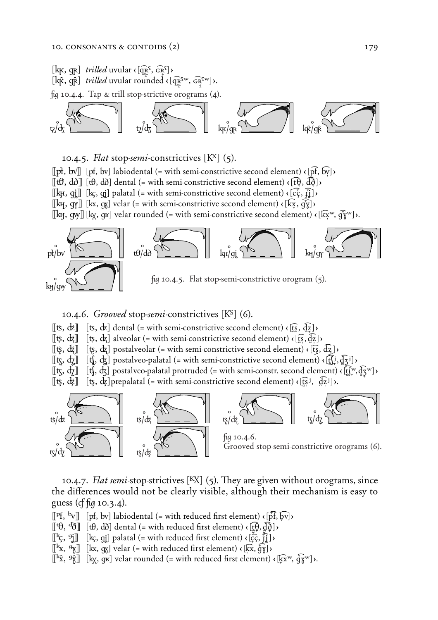



#### 10.4.5. *√at* stop-*semi*-constrictives **(@)** (5).

 $[\![\mathbf{p}], \mathbf{b} \mathbf{v}]\!]$  [ $[\mathbf{p} \mathbf{f}, \mathbf{b} \mathbf{v}]$ ] labiodental (= with semi-constrictive second element)  $\{[\mathbf{p} \mathbf{f}, \mathbf{b} \mathbf{y}]\}$  $[\![\mathbf{r}\mathbf{t}\mathbf{t}\mathbf{t}\mathbf{t}]\!]$   $[\![\mathbf{r}\mathbf{t}\mathbf{t}\mathbf{t}\mathbf{t}\mathbf{t}]\!]$  dental (= with semi-constrictive second element)  $\mathbf{r}$   $[\![\mathbf{r}\mathbf{t}\mathbf{t}\mathbf{t}\mathbf{t}]\!]$  $[\![\mathbf{k}, \mathbf{q}]\!]$   $[\![\mathbf{k}, \mathbf{q}]\!]$  palatal (= with semi-constrictive second element)  $\{[\vec{\mathbf{c}}, \vec{\mathbf{j}}]\}$  $[\![\mathbf{k}\!]$ ,  $\varphi$  $[\![\mathbf{k}\!]$   $[\![\mathbf{k}\!]$ ,  $\varphi$  $[\![\mathbf{k}\!]$  velar (= with semi-constrictive second element)  $\langle [\mathbf{k}\!]$ ,  $\varphi$  $[\![\mathbf{k}\!]$ )  $[\![\mathbf{k}\!]$ ,  $[\![\mathbf{w}]\!]$   $[\![\mathbf{k}\!]$ ,  $[\![\mathbf{w}]\!]$  velar rounded (= with semi-constrictive second element)  $\langle [\![\mathbf{k}\!] \mathbf{x}^{\mathbf{w}}, \mathbf{q}\!] \mathbf{\hat{y}}^{\mathbf{w}}]\rangle$ .



# 10.4.6. *Grooved* stop-*semi*-constrictives **(&)** (6).

- $[\![\mathbf{t}\mathbf{s}, \mathbf{d}\mathbf{z}]\!]$  [**ts**,  $\mathbf{d}\mathbf{z}$ ] dental (= with semi-constrictive second element)  $\{\mathbf{f}\mathbf{s}, \mathbf{d}\mathbf{z}\}\$
- $[\![\phi, \phi]\!]$   $[\![\phi, \phi]\!]$  alveolar (= with semi-constrictive second element)  $\{[\![\dot{s}, \phi]\!]$
- **((ú, ∂)) (***fi***,** *"***)** postalveolar (= with semi-constrictive second element) ç**(t***§*X*ß***, d**X*Ω§* **)**Ç
- $[[t], d]$   $[[t], d]$  postalveo-palatal (= with semi-constrictive second element)  $([t], d]$ <sup>z</sup> $)$
- $[\![\mathbf{t}\mathbf{x}, \mathbf{d}\mathbf{z}]\!]$   $[\![\mathbf{t}\mathbf{f}, \mathbf{d}\mathbf{x}]$  postalveo-palatal protruded (= with semi-constr. second element)  $\langle [\![\mathbf{f},\mathbf{y},\mathbf{d}\mathbf{x}]\!]$
- $\left[ \phi, \phi \right]$  [**t**s,  $\phi$ ] prepalatal (= with semi-constrictive second element)  $\phi$  [**t**s<sup>*j*</sup>,  $\phi$ <sup>*zj*</sup>] $\phi$ *.*



10.4.7. *Flat semi*-stop-strictives [<sup>K</sup>X] (5). They are given without orograms, since the differences would not be clearly visible, although their mechanism is easy to guess (*Ô û* 10.3.4).

 $[\![\mathbf{P} \mathbf{f}, \mathbf{b} \mathbf{v}]\!]$  [pf, bv] labiodental (= with reduced first element)  $\{\vec{p}\mathbf{f}, \vec{b}\mathbf{v}\}\$ 

- $\left[\ulcorner \theta, \frac{d}{d}\right]\left[\td\theta, \frac{d}{d}\right]$  dental (= with reduced first element)  $\left(\left[\underline{t}\theta, \underline{d}\right]\right)$
- $\left[\begin{matrix} \kappa \\ \kappa \\ \kappa \end{matrix} \right]$  [ $\kappa$ <sub>5</sub>,  $\eta$ ] palatal (= with reduced first element)  $\langle [\hat{\varsigma} \hat{\varsigma}, \hat{\eta}] \rangle$
- $[[\mathbf{k}_\mathbf{X}, \mathbf{S}_\mathbf{X}]]$  [kx, g<sub>X</sub>] velar (= with reduced first element)  $\langle [\mathbf{k}_\mathbf{X}, \mathbf{\dot{Y}}] \rangle$
- $[\![\mathbf{k}\hat{\mathbf{x}}, \mathbf{S}\hat{\mathbf{y}}\!]$  [ $[\mathbf{k}\hat{\mathbf{x}}, \hat{\mathbf{y}}\hat{\mathbf{y}}\mathbf{w}]$ ).  $[\![\mathbf{k}\hat{\mathbf{x}}, \hat{\mathbf{y}}\hat{\mathbf{y}}\mathbf{w}]\!]$ ).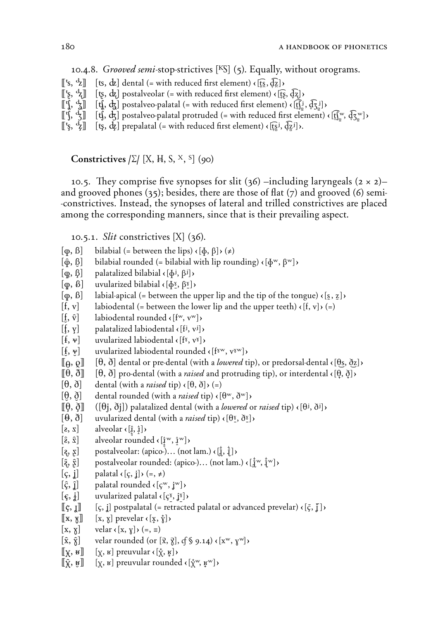10.4.8. *Grooved semi*-stop-strictives **(I)** (5). Equally, without orograms.

- $[[\mathbf{k}, \mathbf{k}]]$   $[\mathbf{t}, \mathbf{k}]$  dental (= with reduced first element)  $\{[\mathbf{k}, \mathbf{k}]\}$
- 
- $[[\xi, \xi]]$   $[\xi, \xi]$  postalveolar (= with reduced first element)  $\chi$  ( $[\xi, \xi]$ )<br> $[[\eta, \xi]]$   $[\eta, \xi]$  postalveo-palatal (= with reduced first element)  $\chi$  ( $[\eta]$ <sup>1</sup>)  $[[\mathbf{f}], \mathbf{f}, \mathbf{g}]$   $[[\mathbf{f}], \mathbf{g}]$  postalveo-palatal (= with reduced first element)  $\{[\mathbf{f}]_2^i, \mathbf{G}_2^j\}$ <br> $[[\mathbf{f}], \mathbf{f}, \mathbf{g}]$   $[[\mathbf{f}], \mathbf{g}]$  postalveo-palatal protruded (= with reduced first element)
- $[\mathbf{t} \mathbf{j}, \mathbf{d} \mathbf{j}]$  postalveo-palatal protruded (= with reduced first element)  $\mathbf{f}[\mathbf{f}_\text{S}^{\text{w}}, \mathbf{d} \mathbf{\bar{f}}_{\text{S}^{\text{w}}}]$
- $[[\xi, \xi]]$   $[\xi, \xi]$  prepalatal (= with reduced first element)  $\chi$   $[\xi, \xi, \xi]$ ),

# Constrictives  $\left[\Sigma\right]$  [X, H, S, <sup>x</sup>, <sup>S</sup>] (90)

10.5. They comprise five synopses for slit  $(36)$  –including laryngeals  $(2 \times 2)$ – and grooved phones (35); besides, there are those of flat (7) and grooved (6) semi- -constrictives. Instead, the synopses of lateral and trilled constrictives are placed among the corresponding manners, since that is their prevailing aspect.

10.5.1. *Slit* constrictives **(ƒ)** (36).

- $[\varphi, \beta]$  bilabial (= between the lips)  $\langle [\varphi, \beta] \rangle (\neq)$
- $\lceil \hat{\varphi}, \beta \rceil$  bilabial rounded (= bilabial with lip rounding)  $\langle \phi^w, \beta^w \rangle$
- $[\varphi, \beta]$  palatalized bilabial  $\langle [\varphi^j, \beta^j] \rangle$
- $\left[\phi, \beta\right]$  uvularized bilabial  $\left(\phi^{\gamma}, \beta^{\gamma}\right)$
- $[\varphi, \beta]$  labial-apical (= between the upper lip and the tip of the tongue)  $\langle [\underline{s}, \underline{z}] \rangle$
- $[f, v]$  labiodental (= between the lower lip and the upper teeth)  $\left\{ \{f, v\} \right\}$  (=)
- $[\mathbf{f}, \hat{\mathbf{v}}]$  labiodental rounded  $\langle [\mathbf{f}^w, \mathbf{v}^w] \rangle$
- $[f, y]$  palatalized labiodental  $\{[f^j, v^j]\}$
- $[f, v]$  uvularized labiodental  $\langle [f^{\gamma}, v^{\gamma}] \rangle$
- $[\frac{f}{f}, \frac{w}{g}]$  uvularized labiodental rounded  $\left\{ \left[\hat{f}^w, v^w\right]\right\}$
- $\llbracket \rho, \rho \rrbracket$  [ $\theta, \delta$ ] dental or pre-dental (with a *lowered* tip), or predorsal-dental  $\langle \lbrack \theta_s, \delta_z \rbrack \rangle$
- **((w, W)) (†, ∑) pro-**dental (with a *raised* and protruding tip), or interdental ç**(†**Ω**, ∑**Ω**)**Ç
- $[\theta, \delta]$  dental (with a *raised* tip)  $(\theta, \delta)$  (=)
- $[\theta, \delta]$  dental rounded (with a *raised* tip)  $\langle [\theta^w, \delta^w] \rangle$
- $[\![\theta, \delta]\!]$  ( $[\![\theta\]$ ,  $\delta\]$ ) palatalized dental (with a *lowered* or *raised* tip)  $\langle [\theta^j, \delta^j] \rangle$
- $[\Theta, \delta]$  uvularized dental (with a *raised* tip)  $\left\{ \Theta_{\delta}, \delta_{\delta} \right\}$
- $[\mathbf{z}, \mathbf{x}]$  alveolar  $\mathbf{z} \times \mathbf{z}$
- $[\hat{\mathbf{z}}, \hat{\mathbf{x}}]$  alveolar rounded  $\mathbf{z}$  ( $[\mathbf{z}^w, \mathbf{z}^w]$ )
- $[\zeta, \xi]$  postalveolar: (apico-)… (not lam.)  $\langle \xi, \xi \rangle$
- $[\hat{\mathbf{e}}_i, \hat{\mathbf{g}}]$  postalveolar rounded: (apico-)... (not lam.)  $\mathbf{e}[\mathbf{e}_i^{\text{tw}}, \mathbf{e}_i^{\text{tw}}]$
- $\begin{bmatrix} \varsigma, \mathbf{i} \end{bmatrix}$  palatal  $\langle \varsigma, \mathbf{i} \rangle$  $\rightarrow$  (=,  $\neq$ )
- $[\hat{\varsigma}, \hat{\mathbf{i}}]$  palatal rounded  $\langle [\mathbf{\varsigma}^w, \mathbf{\mathbf{j}}^w] \rangle$
- $[\xi, \dot{\phi}]$  uvularized palatal  $\langle [\zeta^{\delta}, \dot{\phi}] \rangle$
- $[\![\mathfrak{c},\mathfrak{x}]\!]$  [ $[\mathfrak{c},\mathfrak{x}]$ ] postpalatal (= retracted palatal or advanced prevelar)  $\langle [\mathfrak{c},\mathfrak{x}]\rangle$
- $[[x, x]]$   $[x, y]$  prevelar  $\langle [x, y] \rangle$
- $[x, x]$  velar  $\left\{x, y\right\}$  $\left(\epsilon, \epsilon\right)$
- $[\hat{x}, \hat{y}]$  velar rounded (or  $[\hat{x}, \hat{y}],$   $(f \hat{y}, g, 14)$   $(\mathbf{x}^w, \mathbf{y}^w)$ )
- $\left[\n\begin{bmatrix}\n\mathbf{x}, \mathbf{y}\n\end{bmatrix}\right]$   $\left[\n\begin{bmatrix}\n\mathbf{x}, \mathbf{y}\n\end{bmatrix}\n\right]$  preuvular  $\left\{\n\begin{bmatrix}\n\mathbf{x}, \mathbf{y}\n\end{bmatrix}\n\right\}$
- $[\![\hat{\mathbf{x}}, \mathbf{y}]\!]$  [x, **E**] preuvular rounded  $\langle [\mathbf{x}, \mathbf{y}, \mathbf{y}]\rangle$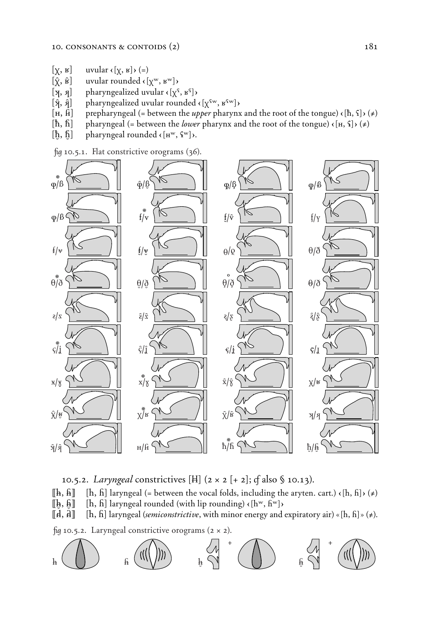- $[\chi, \kappa]$  uvular  $\langle [\chi, \kappa] \rangle$  (=)
- $[\hat{\chi}, \hat{\mathbf{B}}]$  uvular rounded  $\langle [\chi^{\text{w}}, \kappa^{\text{w}}] \rangle$
- 
- [ $\mathbf{X}$ ,  $\mathbf{Y}$ ] pharyngealized uvular  $\mathbf{X}$ <sup>c</sup>,  $\mathbf{X}$ <sup>s</sup>])<br>[ $\mathbf{\hat{Y}}$ ,  $\mathbf{\hat{Y}}$ ] pharyngealized uvular rounded  $\hat{A}$  pharyngealized uvular rounded  $\hat{A}$   $[\chi^{\text{fw}}, \kappa^{\text{fw}}]$
- $[\mathbf{H}, \mathbf{H}]$  prepharyngeal (= between the *upper* pharynx and the root of the tongue)  $\left\{ \{\mathbf{h}, \{\}\right\}$
- $[\hbar, \hbar]$  pharyngeal (= between the *lower* pharynx and the root of the tongue)  $\langle [\mathbf{H}, \mathbf{S}] \rangle$  $(\neq)$
- $[\hat{\hbar}, \hat{\hbar}]$  pharyngeal rounded  $\langle [\mathbf{H}^{\text{w}}, \hat{\mathbf{F}}^{\text{w}}] \rangle$ .

*û* 10.5.1. *∫*at constrictive orograms (36).





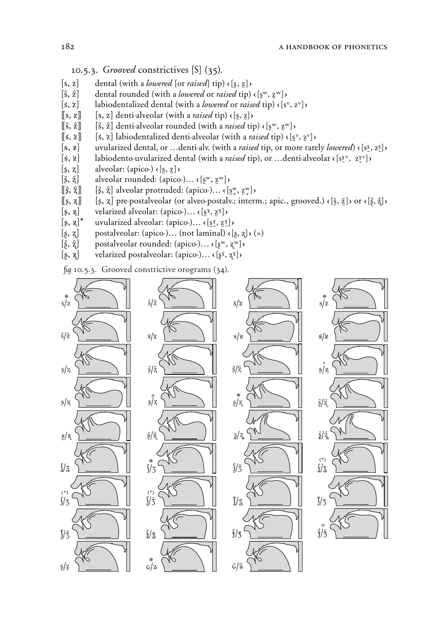# 10.5.3. *Grooved* constrictives **(\_)** (35).

- $[s, z]$  dental (with a *lowered* [or *raised*] tip)  $\left\{ \underline{s}, \underline{z} \right\}$
- $[\hat{s}, \hat{z}]$  dental rounded (with a *lowered* or *raised* tip)  $\langle s^w, z^w \rangle$
- $[s, z]$  labiodentalized dental (with a *lowered* or *raised* tip)  $\epsilon[s^v, z^v]$
- $[[s, z]]$   $[s, z]$  denti-alveolar (with a *raised* tip)  $\langle [s, z] \rangle$ <br> $[\hat{s}, \hat{z}]$   $[s, \hat{z}]$  denti-alveolar rounded (with a *raised* tip
- $[\hat{\mathbf{s}}, \hat{\mathbf{z}}]$  denti-alveolar rounded (with a *raised* tip)  $\left\{ \left[ \mathbf{s}^w, \mathbf{z}^w \right] \right\}$
- $[[\mathbf{k}, \mathbf{k}]]$   $[\mathbf{k}, \mathbf{k}]$  labiodentalized denti-alveolar (with a *raised* tip)  $\mathbf{k}[\mathbf{s}^v, \mathbf{z}^v]$
- **(** $\bf{\hat{s}, z}$ ) uvularized dental, or …denti-alv. (with a *raised* tip, or more rarely *lowered*)  $\bf{\hat{s}, z}$  $\bf{\hat{s}, z}$  $\bf{\hat{s}, z}$  labiodento-uvularized dental (with a *raised* tip), or …denti-alveolar  $\bf{\hat{s}}$ <sup>s</sup> $\bf{\hat{s}}$ <sup>s</sup>
- $1$ *abiodento-uvularized dental (with a <i>raised tip)*, or …denti-alveolar  $\left\{ s^{\gamma}, z^{\gamma} \right\}$
- $[s, z]$  alveolar: (apico-)  $\left\{s, z\right\}$
- $[\hat{\xi}, \hat{\zeta}]$  alveolar rounded: (apico-)...  $\langle [\mathbf{s}^w, \mathbf{z}^w] \rangle$
- $\left[\left[\hat{\varsigma}, \hat{\varsigma}\right]\right]$   $\left[\hat{\varsigma}, \hat{\varsigma}\right]$  alveolar protruded: (apico-)...  $\left(\left[\mathbf{s}^{\mathrm{w}}, \mathbf{z}^{\mathrm{w}}\right]\right)$
- $[\![s, z]\!]$  [ $[s, z]$ ] pre-postalveolar (or alveo-postalv.; interm.; apic., grooved.)  $\langle [\bar{s}, \bar{z}] \rangle$  or  $\langle [\bar{s}, \bar{z}] \rangle$
- $[\hat{\beta}, \tilde{\mathbf{z}}]$  velarized alveolar: (apico-)…  $\mathbf{c}[\mathbf{s}^{\tilde{\mathbf{x}}}, \mathbf{z}^{\tilde{\mathbf{x}}}]$ )<br> $[\hat{\beta}, \tilde{\mathbf{z}}]$ <sup>+</sup> uvularized alveolar: (apico-)…  $\mathbf{c}[\mathbf{s}^{\tilde{\mathbf{x}}}, \mathbf{z}^{\tilde{\mathbf{x}}}]$
- 
- **(***ß***,** *Ω***)** postalveolar: (apico-)… (not laminal) ç**(***ß***,** *Ω***)**Ç (=)
- $[\hat{\beta}, \tilde{\zeta}]^*$  uvularized alveolar: (apico-)...  $\langle [\underline{\tilde{s}}, \underline{\tilde{\zeta}}] \rangle$ <br>  $[\hat{\beta}, \tilde{\zeta}]$  postalveolar rounded: (apico-)...  $\langle [\underline{\tilde{s}}, \hat{\zeta}] \rangle$ **(**è**,** ¶**)** postalveolar rounded: (apico-)… ç**(***ß*"**,** *Ω*"**)**Ç
- **(∑, ")** velarized postalveolar: (apico-)… ç**(***ß*ˆ**,** *Ω*ˆ**)**Ç

fig 10.5.3. Grooved constrictive orograms (34).

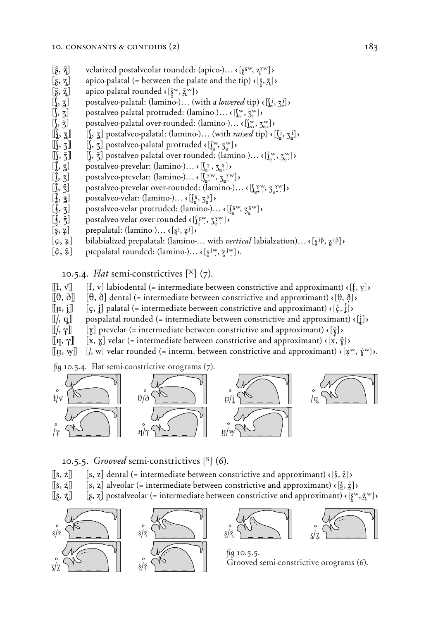- **(**.**,** ÷**)** velarized postalveolar rounded: (apico-)… ç**(***ß*ˆ"**,** *Ω*ˆ"**)**Ç
- 
- **(A, Å)** apico-palatal rounded ç**(***ß*.*π*"**,** Î "*Ω*. **)**Ç
- postalveo-palatal: (lamino-)... (with a *lowered* tip)  $\{[\underline{i}, \underline{\tau}]\}$
- **(S)** postalveo-palatal protruded: (lamino-)...  $\{[\mathbf{x}, \mathbf{z}^w] \}$
- postalveo-palatal over-rounded: (lamino-)... <  $[\int_{\infty}^{w}, \underline{z}_{\infty}^{w}]$ )
- $\left[\left\{\right, \frac{1}{2}\right\}$  postalveo-palatal: (lamino-)... (with *raised* tip)  $\left\{\left[\right\}$ ,  $\left[\right\}$ ,  $\left[\right\}$ )
- $\left[\int, \mathbf{z}\right]$  postalveo-palatal protruded  $\langle \left[\int_{\mathbf{z}}^{\mathbf{w}}, \mathbf{z}^{\mathbf{w}}_{\mathbf{z}}\right] \rangle$
- **[** $\int$ ,  $\hat{z}$ ] postalveo-palatal over-rounded: (lamino-)...  $\{ \int_{\alpha}^{w}, \xi_{\alpha}^{w} \}$
- **postalveo-prevelar:** (lamino-)…  $\langle \left[\begin{matrix} x \\ y \end{matrix}, \frac{z}{2} \right] \rangle$
- **()** postalveo-prevelar: (lamino-)…  $\langle \int_{a_+}^{\infty} X^W, \, \mathcal{F}_{a_+}^X \rangle$
- **[** $\hat{\mathbf{g}}, \hat{\mathbf{z}}, \hat{\mathbf{z}}$ ] apico-palatal (= between the palate and the tip)  $\{ \bar{\mathbf{g}}, \hat{\mathbf{z}}, \hat{\mathbf{z}} \}$ <br> **(h**,  $\hat{\mathbf{z}}$ ] apico-palatal rounded  $\{ \bar{\mathbf{g}}^w, \bar{\mathbf{z}}^w \}$ )<br> **(h**,  $\hat{\mathbf{z}}$ ] postalveo-palatal **()** postalveo-prevelar over-rounded: (lamino-)… <  $\left(\int_{a+1}^{x} \sum_{y}^{y} \frac{y}{y} \right)$
- **postalveo-velar:** (lamino-)... ←  $[\frac{\sqrt{8}}{2}, \frac{\sqrt{8}}{2}]$
- postalveo-velar protruded: (lamino-)... <  $\left[\int_{\frac{\alpha}{2}}^{x} y, \frac{y}{2} \right]$
- **)** postalveo-velar over-rounded  $\langle \iint_{a}^{x} \mathbf{W}, \mathbf{Z}_{a}^{x} \mathbf{W} \rangle$
- $\left[\xi, z\right]$  prepalatal: (lamino-)...  $\left(\xi^j, z^j\right)$
- $[\varphi, \varphi]$  bilabialized prepalatal: (lamino-... with *vertical* labialzation)...  $\{[\varphi^j\beta, \varphi^j\beta]\}$
- $[\hat{\varphi}, \hat{\mathbf{z}}]$  prepalatal rounded: (lamino-)...  $\mathbf{z}$   $[\mathbf{s}^{\text{jw}}, \mathbf{z}^{\text{jw}}]$ ).

10.5.4. *Flat* semi-constrictives  $[X]$  (7).

- $[\![\mathbf{f}, \mathbf{v}]\!]$  [f, v] labiodental (= intermediate between constrictive and approximant)  $\langle [\mathbf{f}, \mathbf{v}] \rangle$
- **((***fl***,** *∂***)) (†, ∑)** dental (= intermediate between constrictive and approximant) ç**(†**f**, ∑**f**)**Ç
- $[\![\mu, \,]\!]$   $[\,\zeta, \,]\!]$  palatal (= intermediate between constrictive and approximant)  $\langle [\,\zeta, \,]\rangle$
- $[[\ell, \mathbf{q}]]$  pospalatal rounded (= intermediate between constrictive and approximant)  $\{\mathbf{i}\}\$
- **((/, g)) (Ÿ)** prevelar (= intermediate between constrictive and approximant) ç**(**'*§*Ë**)**Ç
- $[\![\mu], \gamma]\!]$   $[\![x, \gamma]\!]$  velar (= intermediate between constrictive and approximant)  $\langle [\xi, \xi] \rangle$
- $[\![ \mu, \psi ]\!]$   $[\ ]$ , w] velar rounded (= interm. between constrictive and approximant)  $\{[\mathbf{x}^w, \mathbf{y}^w]\}$ .

*fu* **10.5.4.** Flat semi-constrictive orograms (7).



10.5.5. *Grooved* semi-constrictives **(`)** (6).

- **(j**, **z]**  $[s, z]$  dental (= intermediate between constrictive and approximant)  $\langle$  **[**§, *z*<sup>7</sup>] $\rangle$
- $[\![\xi, \xi]\!]$  [ $[\xi, \xi]$  alveolar (= intermediate between constrictive and approximant)  $\{\xi, \xi\}$
- **((Á, Î)) (***ß***,** *Ω***)** postalveolar (= intermediate between constrictive and approximant) ç**(***ßπ*."**,** Î "*Ω*. **)**Ç





*û* 10.5.5. Grooved semi-constrictive orograms (6).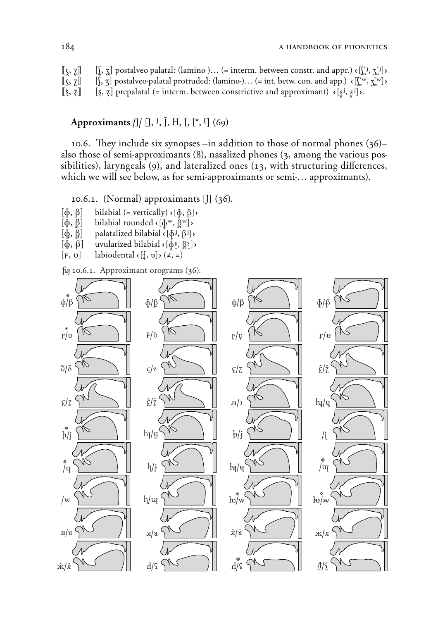| $\llbracket \zeta, \zeta \rrbracket$            | $\left[\right], \frac{1}{2}$ postalveo-palatal: (lamino-) (= interm. between constr. and appr.) $\left(\left[\right], \frac{1}{2}\right]$ ) |
|-------------------------------------------------|---------------------------------------------------------------------------------------------------------------------------------------------|
| $\llbracket \zeta, \overline{\zeta} \rrbracket$ | $[\,,\,\tau]$ postalveo-palatal protruded: (lamino-) (= int. betw. con. and app.) $\langle [\,\,\,^{\tau_w},\,\tau_w^{\tau_w}]\,\rangle$    |
| $[\![\S,\S]\!]$                                 | [ <i>s</i> , <i>z</i> ] prepalatal (= interm. between constrictive and approximant) $\langle [s_1, s_2] \rangle$ .                          |

# Approximants **/ß/ (ß, ´, j, ‡, ã, ã\*, J)** (69)

10.6. They include six synopses –in addition to those of normal phones (36)– also those of semi-approximants (8), nasalized phones (3, among the various possibilities), laryngeals  $(9)$ , and lateralized ones  $(13)$ , with structuring differences, which we will see below, as for semi-approximants or semi-… approximants).

10.6.1. (Normal) approximants **(ß)** (36).

- $[\Phi, \beta]$  bilabial (= vertically)  $(\Phi, \beta)$
- $[\Phi, \beta]$  bilabial rounded  $\{[\Phi^w, \beta^w]\}$
- $[\oint, \oint, \underline{\beta}^j]$  palatalized bilabial  $\{[\phi^j, \underline{\beta}^j]\}$
- $[\Phi, \beta]$  uvularized bilabial  $\{\phi^{\gamma}, \beta^{\gamma}\}$
- $\begin{bmatrix} F, v \end{bmatrix}$  labiodental  $\langle \begin{bmatrix} f, v \end{bmatrix} \rangle$  $\begin{bmatrix} f, \end{bmatrix}$

*û* 10.6.1. Approximant orograms (36).

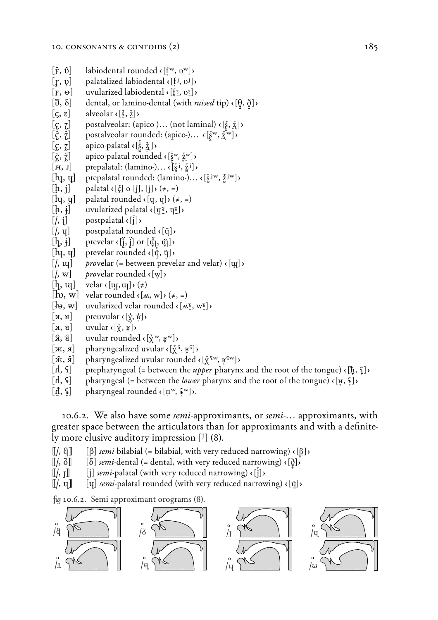- $[\hat{\mathbf{F}}, \hat{\mathbf{U}}]$  labiodental rounded  $\langle [\mathbf{f}^w, \mathbf{U}^w] \rangle$
- $[F, \psi]$  palatalized labiodental  $\{[\underline{f}^j, \psi^j]\}$
- $\begin{bmatrix} \mathbf{F}, \mathbf{\Theta} \end{bmatrix}$  uvularized labiodental  $\mathbf{F}[\mathbf{F}, \mathbf{F}]\mathbf{F}$ <br>  $\begin{bmatrix} \mathbf{F}, \mathbf{\Theta} \end{bmatrix}$  dental, or lamino-dental (with *r*
- **(dental, or lamino-dental (with** *raised* **tip) <b>∈**[ $\theta$ ,  $\delta$ ] $\theta$
- $\left[\zeta, z\right]$  alveolar  $\langle \xi, \xi \rangle$
- **(***P***,** *⁄***)** postalveolar: (apico-)… (not laminal) ç**(***πß*h**,** Îh*Ω* **)**Ç
- $[\hat{\zeta}, \hat{\zeta}]$  postalveolar rounded: (apico-)...  $\langle [\tilde{\zeta}^w, \tilde{\zeta}^w] \rangle$
- **(***≈***,** *c***)** apico-palatal ç**(**.*ßπ°***,** :Î*Ω*h **)**Ç
- **(***‰***,** *C***)** apico-palatal rounded ç**(**."*ßπ°* **,** :Î*Ω*h"**)**Ç
- $[\mathbf{H}, \mathbf{J}]$  prepalatal: (lamino-)...  $\{\mathbf{x} \in \mathbf{S} \mid \mathbf{S} \}$
- $[\mathbf{h}_\mathbf{I}, \mathbf{q}]$  prepalatal rounded: (lamino-)...  $\{\mathbf{x}^{\mathbf{j}w}, \mathbf{z}^{\mathbf{j}w}\}$
- $[\mathbf{h}, \mathbf{j}]$  palatal  $\mathbf{c}[\mathbf{\zeta}]$  o  $[\mathbf{j}]$ ,  $[\mathbf{j}]$ )  $(\neq, =)$
- $\begin{bmatrix} \n\mathbf{h} \n\mathbf{v}, \mathbf{v} \n\end{bmatrix}$  palatal rounded  $\langle \n\mathbf{v}, \mathbf{v} \n\end{bmatrix}$ ,  $(\neq, =)$
- $[\frac{1}{2}, \frac{1}{2}]$  uvularized palatal  $\{[\mathbf{x}^{\mathbf{x}}, \mathbf{y}^{\mathbf{x}}]\}$
- $\left[\frac{\ }{\ }$ , i \right] postpalatal  $\left\{ \left[\frac{\ }{\ } \right] \right\}$
- $\left[\begin{matrix}I, \mathbf{u}\end{matrix}\right]$  postpalatal rounded  $\left\{\begin{matrix} \bar{\mathbf{u}} \end{matrix}\right\}$
- $[\mathbf{h}, \mathbf{i}]$  prevelar  $\langle [\mathbf{i}, \mathbf{j}] \rangle$  or  $[\mathbf{u}, \mathbf{u}]$
- $[\mathbf{h}_{\mathbf{f}}, \mathbf{v}_{\mathbf{f}}]$  prevelar rounded  $\mathbf{v}$  ( $[\ddot{\mathbf{v}}, \ddot{\mathbf{v}}]$ )
- $[$ ,  $\mu$ <sup>]</sup> *provelar* (= between prevelar and velar)  $\epsilon$  [ $\mu$ ])
- $[$ , w] *provelar rounded*  $\langle [\mathbf{w}] \rangle$
- $[h, \mathrm{w}]$  velar  $\left(\mathrm{w}, \mathrm{w}\right) \rightarrow \left(\neq\right)$
- $[\mathbf{b}, \mathbf{w}]$  velar rounded  $\langle [\mathbf{w}, \mathbf{w}] \rangle (\neq, =)$
- $[\mathbf{h}, \mathbf{w}]$  uvularized velar rounded  $\mathbf{K}[\mathbf{w}, \mathbf{w}]$
- $[\mathbf{H}, \mathbf{H}]$  preuvular  $\mathcal{E}[\dot{\mathbf{X}}, \dot{\mathbf{F}}]$
- $[\mathbf{x}, \mathbf{y}]$  uvular  $(\mathbf{x}, \mathbf{y})$
- $[\hat{\mathbf{x}}, \hat{\mathbf{u}}]$  uvular rounded  $\mathbf{v}$  $[\hat{\mathbf{x}}^{\text{w}}, \hat{\mathbf{y}}^{\text{w}}]$
- $[\mathbf{x}, \mathbf{x}]$  pharyngealized uvular  $\mathbf{r}$   $[\mathbf{x}^{\mathsf{T}}, \mathbf{y}^{\mathsf{T}}]$
- $[\hat{\mathbf{x}}, \hat{\mathbf{z}}]$  pharyngealized uvular rounded  $\langle [\hat{\mathbf{x}}^{\text{fw}}, \hat{\mathbf{z}}^{\text{fw}}] \rangle$
- $\begin{bmatrix} \n\text{d}, \text{ } \text{f} \n\end{bmatrix}$  prepharyngeal (= between the *upper* pharynx and the root of the tongue)  $\langle \text{ } [\text{h}, \text{ } \text{ } \text{ } ] \rangle$
- $[\vec{A}, \hat{\mathsf{s}}]$  pharyngeal (= between the *lower* pharynx and the root of the tongue)  $\langle [\mu, \hat{\mathsf{s}}] \rangle$
- $[\mathbf{d}, \mathbf{G}]$  pharyngeal rounded  $\mathbf{G}[\mathbf{H}^{\mathbf{w}}, \mathbf{G}^{\mathbf{w}}]$ .

10.6.2. We also have some *semi*-approximants, or *semi-*… approximants, with greater space between the articulators than for approximants and with a definitely more elusive auditory impression **(´)** (8).

- $\llbracket$ ,  $\varnothing \rrbracket$  [ $\beta$ ] *semi*-bilabial (= bilabial, with very reduced narrowing)  $\langle \lbrack \beta \rbrack \rangle$
- $\llbracket$ ,  $\delta \rrbracket$  [ $\delta$ ] *semi*-dental (= dental, with very reduced narrowing)  $\lceil \delta \rceil$
- $\llbracket /$ ,  $\llbracket \rrbracket$  [**j**] *semi*-palatal (with very reduced narrowing)  $\lt \lbrack \llbracket \rrbracket$
- $\llbracket$ , **q** $\rrbracket$   $\qquad$  [**q**] *semi*-palatal rounded (with very reduced narrowing)  $\langle \bar{q} \rangle$

*û* 10.6.2. Semi-approximant orograms (8).

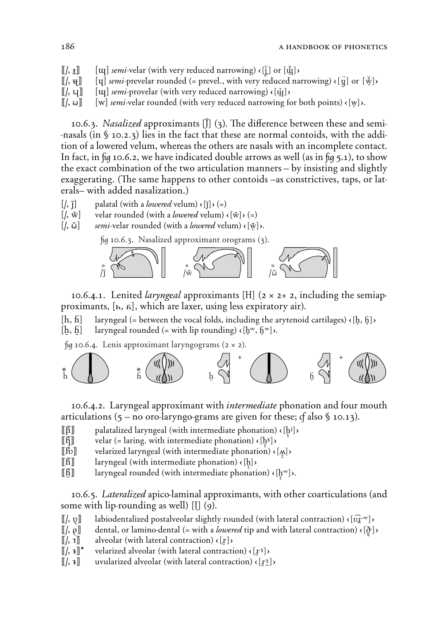$[[\cdot, \cdot, \cdot]]$  [ $[\cdot, \cdot, \cdot]$ ] *semi*-velar (with very reduced narrowing)  $\langle [\cdot, \cdot, \cdot] \rangle$  or  $[\cdot, \cdot, \cdot]$  $[[\ell], \mathbf{H}]]$  [**U**] *semi*-prevelar rounded (= prevel., with very reduced narrowing)  $\{[\ddot{y}]$  or  $[\ddot{w}]$ ) **((/,** *=***)) (µ)** *semi*-provelar (with very reduced narrowing) ç**(µ**Ωh **)**Ç  $[[\ell, \omega]]$  [w] *semi*-velar rounded (with very reduced narrowing for both points)  $\{[\psi]\}$ .

10.6.3. *Nasalized* approximants **(j)** (3). *˛*e di‡erence between these and semi- -nasals (in § 10.2.3) lies in the fact that these are normal contoids, with the addition of a lowered velum, whereas the others are nasals with an incomplete contact. In fact, in *fig* 10.6.2, we have indicated double arrows as well (as in *fig* 5.1), to show the exact combination of the two articulation manners – by insisting and slightly exaggerating. (The same happens to other contoids –as constrictives, taps, or laterals– with added nasalization.)

- $\begin{bmatrix} \end{bmatrix}$  palatal (with a *lowered* velum)  $\begin{bmatrix} \end{bmatrix}$  (=)
- $[$ *(,* $\tilde{w}$ ) velar rounded (with a *lowered* velum)  $\epsilon[\tilde{w}]$   $($  =)
- $\left[\left\langle \right, \tilde{\omega} \right]$  *semi*-velar rounded (with a *lowered* velum)  $\left\{ \left[ \tilde{\omega} \right] \right\}$ .

*û* 10.6.3. Nasalized approximant orograms (3).



10.6.4.1. Lenited *laryngeal* approximants [H]  $(2 \times 2+ 2,$  including the semiapproximants, **(***h***,** *∆***)**, which are laxer, using less expiratory air).

 $[h, h]$  laryngeal (= between the vocal folds, including the arytenoid cartilages)  $\langle [h, h] \rangle$ 

 $[h, h]$  laryngeal rounded (= with lip rounding)  $\{[h^w, h^w]\}$ .

 $\beta$  10.6.4. Lenis approximant laryngograms ( $2 \times 2$ ).



10.6.4.2. Laryngeal approximant with *intermediate* phonation and four mouth articulations  $(5 - no)$  oro-laryngo-grams are given for these;  $f$  also  $\sqrt{5}$  10.13).

- **((***+***))** palatalized laryngeal (with intermediate phonation) ç**(h**î J≠ **)**Ç
- $\lceil \int_0^x \rceil$  velar (= laring. with intermediate phonation)  $\langle \cdot | h^{\delta} \rangle$
- **((***±***))** velarized laryngeal (with intermediate phonation) ç**('**î≠ **)**Ç
- **((***=***))** laryngeal (with intermediate phonation) ç**(h**î≠**)**Ç
- **(i)** laryngeal rounded (with intermediate phonation)  $\Phi$  ( $[\phi^w]$ ).

10.6.5. *Lateralized* apico-laminal approximants, with other coarticulations (and some with lip-rounding as well)  $\begin{bmatrix} 1 \\ 0 \end{bmatrix}$ 

- $[[\ell, \nu]]$  labiodentalized postalveolar slightly rounded (with lateral contraction)  $\langle [\hat{u}]^{\text{sw}}] \rangle$
- **((/,** *Ã***))** dental, or lamino-dental (= with a *lowered* tip and with lateral contraction) ç**(∑**¥*§*&**)**Ç
- **(1)** alveolar (with lateral contraction)  $\langle [r] \rangle$
- **([/,**  $\mathbf{a}$ **]<sup>\*</sup>** velarized alveolar (with lateral contraction)  $\mathbf{c}$  [ $\mathbf{r}$ <sup>8</sup>])
- $[[\cdot, \cdot,\cdot]]$  uvularized alveolar (with lateral contraction)  $\langle [\cdot,\cdot,\cdot] \rangle$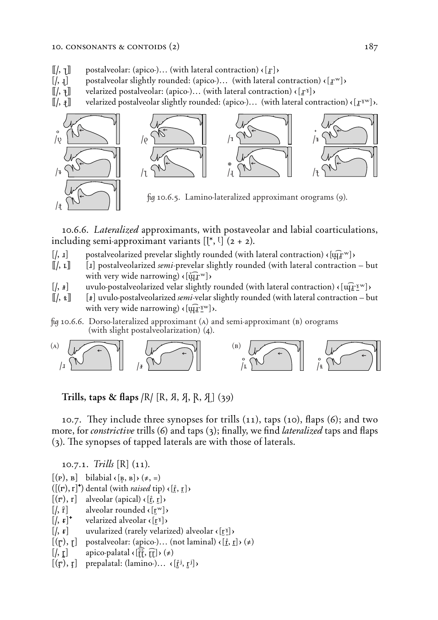- $\llbracket / \sqrt{1} \rrbracket$  postalveolar: (apico-)... (with lateral contraction)  $\langle \lbrack \mathbf{r} \rbrack \rangle$
- $[$ ,  $[$ ,  $]$  postalveolar slightly rounded: (apico-)... (with lateral contraction)  $\langle [$  $]$  $\mathbf{r}$ <sup>w</sup> $]$  $\rangle$
- ([/,  $\mathbf{H}$ ] velarized postalveolar: (apico-)... (with lateral contraction)  $\mathbf{F}[\mathbf{r}^{\mathbf{x}}]$  velarized postalveolar slightly rounded: (apico-)... (with lateral contraction)
- **(** $\text{V}$ ) velarized postalveolar slightly rounded: (apico-)... (with lateral contraction)  $\text{V}$   $\text{V}^{\text{sw}}$ ).



10.6.6. *Lateralized* approximants, with postaveolar and labial coarticulations, including semi-approximant variants  $[\binom{*}{0}, \binom{0}{2}$ .

- $[$ , **i** postalveolarized prevelar slightly rounded (with lateral contraction)  $\langle [\overline{\mathbf{u}} \mathbf{I}^{\mathbf{w}}] \rangle$
- **((/,** *‰***)) (<)** postalveolarized *semi*-prevelar slightly rounded (with lateral contraction but  $with$  very wide narrowing)  $\langle \overline{u}$ [ $\overline{u}^{\text{w}}$ ]
- $\left[\frac{\lambda}{\mu}\right]$  uvulo-postalveolarized velar slightly rounded (with lateral contraction)  $\left\{\frac{\hat{u} \cdot \hat{v}}{\hat{v}}\right\}$
- **((/,** *≈***)) (***<***)** uvulo-postalveolarized *semi*-velar slightly rounded (with lateral contraction but with very wide narrowing)  $\langle [\overline{u} \cdot \overline{v}^w] \rangle$ .

*fig* 10.6.6. Dorso-lateralized approximant ( $\alpha$ ) and semi-approximant ( $\beta$ ) orograms (with slight postalveolarization) (4).



 $Trills$ , taps & flaps  $/R$   $(R, A, A, R, A)$  (39)

10.7. They include three synopses for trills (11), taps (10), flaps (6); and two more, for *constrictive* trills (6) and taps (3); finally, we find *lateralized* taps and flaps (3). The synopses of tapped laterals are with those of laterals.

10.7.1. *Trills* **(***ó***)** (11).

 $[(\mathbf{p}), \mathbf{B}]$  bilabial  $(\mathbf{B}, \mathbf{B}) \neq (\neq, =)$ 

- $({[(r), r]^*})$  dental (with *raised* tip)  $\{[\hat{r}, \hat{r}]\}$
- $[(r), r]$  alveolar (apical)  $\langle [r, r] \rangle$
- $\left[ \begin{matrix} , & \hat{\mathbf{r}} \end{matrix} \right]$  alveolar rounded  $\left\{ \begin{matrix} \mathbf{r}^{\mathbf{w}} \end{matrix} \right\}$
- $\left[ \left( \mathbf{F} \cdot \mathbf{F} \right)^{\dagger}$  velarized alveolar  $\left\{ \left[ \mathbf{F} \mathbf{F} \right] \right\}$
- $[$ ,  $\mathbf{r}$  **d** uvularized (rarely velarized) alveolar  $\mathbf{r}$  [ $\mathbf{r}$ <sup>x</sup>])
- $[(\mathbf{r}), \mathbf{r}]$  postalveolar: (apico-)... (not laminal)  $(\mathbf{r}, \mathbf{r}) \neq (\neq)$
- $\begin{bmatrix} \lambda, r \end{bmatrix}$  apico-palatal  $\{\hat{r}\}\hat{r}, \hat{r}$   $\rightarrow$   $(\neq)$
- $[(\mathbf{r}), \mathbf{r}]$  prepalatal: (lamino-)...  $\{[\mathbf{r}^i, \mathbf{r}^j]\}$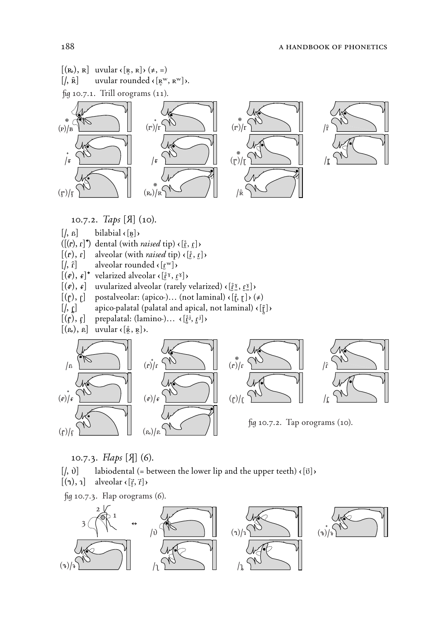



*û* 10.7.2. Tap orograms (10).

10.7.3. *√aps* **(‰)** (6).

 $[$ , 0 $]$  labiodental (= between the lower lip and the upper teeth)  $\langle [\vec{v}] \rangle$ 

 $[(\hat{\mathbf{a}}), \hat{\mathbf{a}}]$  alveolar  $\{[\vec{\mathbf{x}}, \vec{\mathbf{a}}]\}$ 

 $\frac{f}{q}$  **10.7.3.** *Flap orograms* (6).

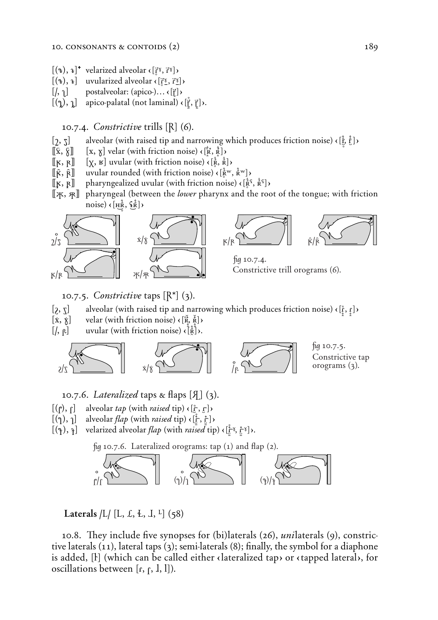- $[(\mathbf{a}), \mathbf{a}]^*$  velarized alveolar  $\langle [\mathbf{a}, \mathbf{b}, \mathbf{b}] \rangle$
- $[(4), 4]$  uvularized alveolar  $\left(\begin{bmatrix} \vec{r} \ \underline{v} \end{bmatrix}, \vec{r} \underline{v}\right)$
- $[[, \cdot]]$  postalveolar: (apico-)...  $\{[\cdot]\}$
- $[(\gamma), \gamma]$  apico-palatal (not laminal)  $\{[\vec{r}, \vec{r}]\}$ .

10.7.4. *Constrictive* trills **(˘)** (6).

- **()**, **5**) alveolar (with raised tip and narrowing which produces friction noise)  $\epsilon$   $[\frac{1}{L}, \frac{1}{L}]$  $\epsilon$
- $[\![\hat{x}, \hat{y}]\!]$   $[\![x, y]\!]$  velar (with friction noise)  $\{\vec{[x}, \vec{R}\}$
- $[\![ \kappa, \kappa ]\!]$   $[\![ \chi, \kappa ]\!]$  uvular (with friction noise)  $\langle [\frac{\kappa}{\kappa}, \frac{\kappa}{\kappa}] \rangle$
- $[\hat{\mathbf{R}}, \hat{\mathbf{R}}]$  uvular rounded (with friction noise)  $\langle [\hat{\mathbf{R}}^{\text{w}}, \hat{\mathbf{R}}^{\text{w}}] \rangle$
- $[\![ \kappa, \kappa ]\!]$  pharyngealized uvular (with friction noise)  $\langle [\frac{\kappa}{\kappa}, \frac{\kappa}{\kappa^2}] \rangle$
- [[X,  $\mathbb{R}$ ] pharyngeal (between the *lower* pharynx and the root of the tongue; with friction noise)  $\left\{ \left[ H_R^{\frac{1}{2}}, \frac{\zeta_R^{\frac{1}{2}}}{H} \right] \right\}$





*û* 10.7.4. Constrictive trill orograms (6).

10.7.5. *Constrictive* taps **(˘\*)** (3).

- $[\xi, \xi]$  alveolar (with raised tip and narrowing which produces friction noise)  $\{\xi, \xi\}$
- $[\mathbf{x}, \mathbf{\hat{x}}]$  velar (with friction noise)  $\mathbf{\hat{x}}, \mathbf{\hat{x}}$ )
- $\left[\frac{\pi}{2}, \beta\right]$  uvular (with friction noise)  $\left\{\frac{1}{\beta}\right\}$ .



10.7.6. Lateralized taps  $\alpha$  flaps  $[\mathcal{A}]$  (3).

- $[(\rho), \rho]$  alveolar *tap* (with *raised* tip)  $\{[\hat{r}, \rho]\}$
- $[(\gamma), \gamma]$  alveolar *flap* (with *raised* tip)  $\{[\zeta, \zeta]\}$
- $[(\hat{\mathbf{a}}), \hat{\mathbf{a}}]$  velarized alveolar *flap* (with *raised* tip)  $(\hat{\mathbf{f}}^{\mathbf{x}}, \hat{\mathbf{f}}^{\mathbf{x}})$ .

fig 10.7.6. Lateralized orograms: tap (1) and flap (2).



 $\text{Laterals } / L / [L, L, L, L, L]$  (58)

10.8. They include five synopses for (bi)laterals (26), *unilaterals* (9), constrictive laterals (11), lateral taps (3); semi-laterals (8); finally, the symbol for a diaphone is added, [I] (which can be called either clateralized tap) or ctapped lateral), for oscillations between  $[r, f, l, l]$ ).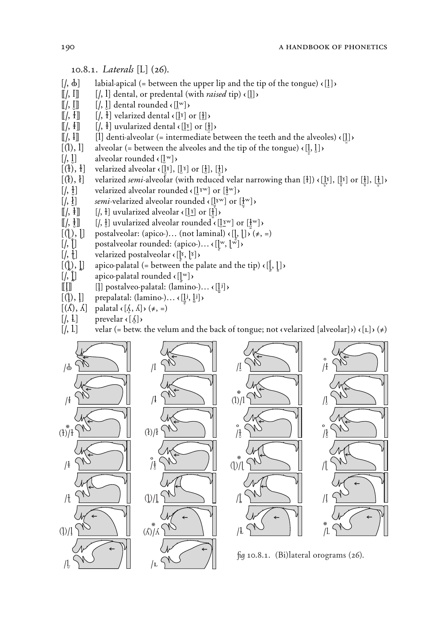#### 10.8.1. *Laterals* **(***‹***)** (26).

- $[$ ,  $\phi$ <sup> $\phi$ </sup> $]$  labial-apical (= between the upper lip and the tip of the tongue)  $\langle$ [1] $\rangle$
- $[[\ell, \ell]]$   $[[\ell, \ell]]$  dental, or predental (with *raised* tip)  $\langle [\ell] \rangle$
- $[[\,,\, \, \cdot \,]]$   $[[\,,\, \, \cdot \,]]$  dental rounded  $\cdot \, [[^{\rm w}]$
- $[[\ell, t]]$   $[[\ell, t]]$  velarized dental  $\{[\ell] \}$  or  $[\ell]$
- $[[/, \frac{1}{2}]]$   $[[/, \frac{1}{2}]]$  uvularized dental  $\left(\frac{1}{2}\right)$  or  $[\frac{1}{2}]$   $\times$
- $\lceil \cdot \rceil$ ] denti-alveolar (= intermediate between the teeth and the alveoles)  $\lceil \cdot \rceil$
- $[(1), 1]$  alveolar (= between the alveoles and the tip of the tongue) ∢ $[\frac{1}{6}, \frac{1}{6}]$ **>**<br> $[1, 1]$  alveolar rounded ∢ $[\frac{1}{6}]$ <sup>w</sup>]
- alveolar rounded  $\langle [l^w] \rangle$
- $[(1), 1]$  velarized alveolar  $([1]^\delta)$ ,  $[[1]^\delta)$  or  $[[1]^\delta)$
- $[(\hat{i}), \hat{i}]$  velarized *semi*-alveolar (with reduced velar narrowing than  $[\hat{i}]) \in [[\hat{i}'], [\hat{i}'], [\hat{j}']$ )
- $\left[\frac{1}{2}, \frac{1}{2}\right]$  velarized alveolar rounded  $\left(\frac{1}{2}e^{i\omega}\right)$  or  $\left[\frac{1}{2}e^{i\omega}\right]$
- $\left[\left\langle \frac{1}{2}, \frac{1}{2}\right\rangle\right]$  *semi*-velarized alveolar rounded  $\left\{ \left[\frac{1}{2} \times \right] \right\}$
- $[[\ell, \frac{1}{2}]]$   $[[\ell, \frac{1}{2}]$  uvularized alveolar  $\epsilon$  ( $[\frac{1}{2}]$ ) or  $[\frac{1}{2}]$ )<br> $[[\ell, \frac{1}{2}]$   $[[\ell, \frac{1}{2}]$  uvularized alveolar rounded  $\epsilon$  ( $[\ell, \frac{1}{2}]$ )
- $\left[ \frac{1}{2} \times \mathbb{R} \right]$  is uvularized alveolar rounded  $\left[ \frac{1}{2} \times \mathbb{R} \right]$  or  $\left[ \frac{1}{2} \times \mathbb{R} \right]$
- $[(\cdot), \cdot]$  postalveolar: (apico-)… (not laminal)  $\cdot$  [[, [] $\cdot$  ( $\neq$ , =)
- $[[, ]]$  postalveolar rounded: (apico-)...  $\{[\mathbf{w}, \mathbf{w}]\}$
- $\left[\frac{1}{2}, \frac{1}{2}\right]$  velarized postalveolar  $\left\{\left[\begin{matrix}x, & 1 \\ 0, & 0\end{matrix}\right]\right\}$
- $[(\!\{})$ ,  $]\!\{]$  apico-palatal (= between the palate and the tip)  $\{[\cdot, \cdot] \}$
- $\left[\frac{\ell}{\ell}\right]$  apico-palatal rounded  $\left\{ \begin{bmatrix} w \\ w \end{bmatrix} \right\}$
- $\llbracket \llbracket \rrbracket$   $\parallel$  postalveo-palatal: (lamino-)...  $\langle \llbracket \llbracket i \rrbracket \rangle$
- $[(\mathbf{l}), \mathbf{l}]$  prepalatal: (lamino-)...  $\{[\mathbf{l}, \mathbf{l}, \mathbf{l}]\}$
- $[(\Lambda), \Lambda]$  palatal  $\{[\lambda, \Lambda]\}\ (\neq, =)$ <br> $[$ , L] prevelar  $\{\Lambda\}$
- 
- (*l*, *l*] prevelar **(**<u>*l*</del>)<br>[*l*, *l*] velar (= betw.</u> velar (= betw. the velum and the back of tongue; not  $\langle$  velarized [alveolar] $\rangle$ ) $\langle$ [ $\iota$ ] $\rangle$  $(*)$







*û* 10.8.1. (Bi)lateral orograms (26).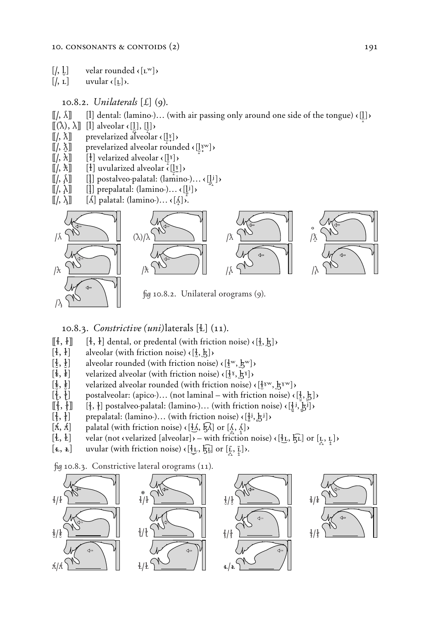- $[[ , ]]$  velar rounded  $([$ **L**<sup>w</sup> $])$
- $\left[\right, \mathbf{r}\right]$  uvular  $\left(\mathbf{r}\right)$ .

 $\lambda$ 

#### 10.8.2. *Unilaterals* **(Æ)** (9).

- $[[/, \Lambda]]$  [1] dental: (lamino-)... (with air passing only around one side of the tongue)  $\{[\}]\$
- $[[(\lambda), \lambda]]$  [l] alveolar  $\left( [\underline{1}], [\underline{1}] \right)$
- **((/,** *|***))** prevelarized alveolar ç**(l***@*ΈΩ**)**Ç
- **l**[/,  $\delta$ **]** prevelarized alveolar rounded ‹[l̥<sup>w</sup>]›
- $[[\ell, \lambda]]$  [*i*] velarized alveolar  $\{[\ell^{\gamma}]\}$
- $[[\,,\, \mathbf{\hat{x}}]]$  [ $[\,\cdot\,]$ ] uvularized alveolar  $\overline{\mathbf{C}}$  ( $[\,\cdot\,]$  $\mathbf{C}$ )
- $[[\,, \, \Lambda]]$   $[[\,]$  postalveo-palatal: (lamino-)...  $\{[\,]\,\}$
- $[[\,, \, \lambda]]$   $[[\,]$  prepalatal: (lamino-)...  $\langle [\, ]^{\,j} \,]$ )
- $[[\ell, \lambda]]$   $[\Lambda]$  palatal: (lamino-)...  $\{[\Lambda]\}$ .



*û* 10.8.2. Unilateral orograms (9).

#### 10.8.3. *Constrictive (uni)*laterals **(ü)** (11).

- $[[\{ \}, \{ \}]]$   $[[\{ \}, \{ \}]]$  dental, or predental (with friction noise)  $\{ [\{ \}, \{ \} ]$
- $[4, 4]$  alveolar (with friction noise)  $\left(\frac{1}{2}, \frac{1}{6}\right)$
- $[\frac{1}{2}, \frac{1}{2}]$  alveolar rounded (with friction noise)  $\left(\frac{1}{2} \times \frac{1}{2} \times \frac{1}{2}\right)$
- $[\frac{1}{2}, \frac{1}{2}]$  velarized alveolar (with friction noise)  $\langle [\frac{1}{2}, \frac{1}{2}, \frac{1}{2}] \rangle$
- $[\frac{1}{2}, \frac{1}{2}]$  velarized alveolar rounded (with friction noise)  $\left(\frac{1}{2} \delta^w, \frac{1}{2} \delta^w\right)$
- $[\lbrace \rbrace, \lbrace \rbrace]$  postalveolar: (apico-)... (not laminal with friction noise)  $\{[\underline{\lbrace}, \underline{\xi}]\}$
- $\left[\left[\frac{1}{2}, \frac{1}{2}\right]\right]$  [ $\left[\frac{1}{2}, \frac{1}{2}\right]$  postalveo-palatal: (lamino-)... (with friction noise)  $\left(\left[\frac{1}{2}, \frac{1}{2}, \frac{1}{2}\right]\right)$
- $\left[\frac{1}{3}, \frac{1}{3}\right]$  prepalatal: (lamino-)... (with friction noise)  $\left(\frac{1}{6}, \frac{1}{6}, \frac{1}{6}\right)$
- $[K, \hat{K}]$  palatal (with friction noise)  $\{[A, \hat{K}]$  or  $[\hat{A}, \hat{K}]$
- $[\frac{1}{2}, \frac{1}{2}]$  velar (not cvelarized [alveolar] $\overline{X}$  with friction noise)  $\overline{[\frac{1}{2}, \frac{1}{2}]}$  or  $[\frac{1}{2}, \frac{1}{2}]$
- $[\mathbf{\underline{\mathfrak{e}}}, \mathbf{\underline{\mathfrak{k}}}]$  uvular (with friction noise)  $\mathbf{\mathfrak{e}}[\mathbf{\underline{\mathfrak{k}}}, \mathbf{\overline{\mathfrak{k}}}]$  or  $[\mathbf{\underline{\mathfrak{k}}}, \mathbf{\overline{\mathfrak{k}}}]$ .

*û* 10.8.3. Constrictive lateral orograms (11).

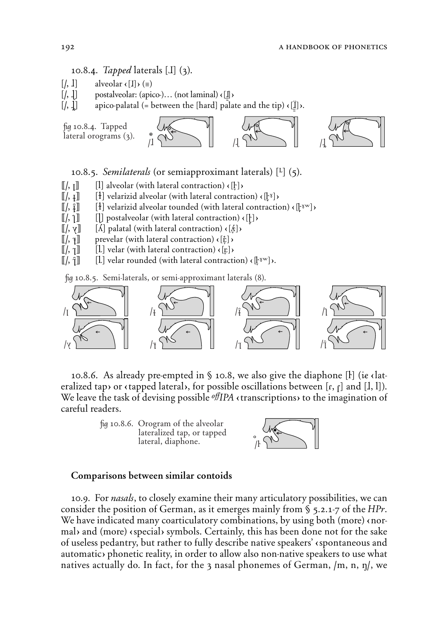10.8.4. *Tapped* laterals **(æ)** (3).

- $\left[\frac{\pi}{3}, 1\right]$  alveolar  $\left\{\frac{\pi}{3}, \frac{\pi}{3}\right\}$
- $[[ , ]]$  postalveolar: (apico-)... (not laminal)  $\{[]\}$
- $[[, ]]$  apico-palatal (= between the [hard] palate and the tip)  $\{[\cdot]\}$ ).



10.8.5. *Semilaterals* (or semiapproximant laterals) **(***Œ***)** (5).

- $[[\,,\,]\,]$  [l] alveolar (with lateral contraction)  $\{\cdot\}$
- $\llbracket$ /,  $\llbracket$ **i**  $\llbracket$ <sup>*i*</sup>  $\rrbracket$  velarizid alveolar (with lateral contraction)  $\llbracket \llbracket x \rrbracket$
- $[[\,,\,\hat{\imath}]]$  [ł] velarizid alveolar tounded (with lateral contraction)  $\langle [\,\cdot\,^{\mathrm{tw}}]\,\rangle$
- $[[\cdot, 1]]$  [[] postalveolar (with lateral contraction)  $\{\cdot\}$
- $\llbracket$ /, **v** $\rrbracket$  [*A*] palatal (with lateral contraction) **c**[ $\&$ ]>
- **((** $[f, \tau]$ ) prevelar (with lateral contraction)  $\langle [\dot{\tau}] \rangle$
- $[[\ell, \tau]]$  [L] velar (with lateral contraction)  $\langle [\tau] \rangle$
- $\llbracket$ /,  $\hat{\uparrow}\rrbracket$  [L] velar rounded (with lateral contraction)  $\langle \downarrow^x \mathbb{F}^* \rangle$ ).

*û* 10.8.5. Semi-laterals, or semi-approximant laterals (8).



10.8.6. As already pre-empted in § 10.8, we also give the diaphone [F] (*ie* elateralized tap) or (tapped lateral), for possible oscillations between  $[r, r]$  and  $[1, 1]$ ). We leave the task of devising possible *<sup>offIPA* «transcriptions» to the imagination of</sup> careful readers.





#### Comparisons between similar contoids

10.9. For *nasals*, to closely examine their many articulatory possibilities, we can consider the position of German, as it emerges mainly from § 5.2.1-7 of the *HPr*. We have indicated many coarticulatory combinations, by using both (more) enormal) and (more) (special) symbols. Certainly, this has been done not for the sake of useless pedantry, but rather to fully describe native speakers' çspontaneous and automatic) phonetic reality, in order to allow also non-native speakers to use what natives actually do. In fact, for the 3 nasal phonemes of German, /m, n, n/, we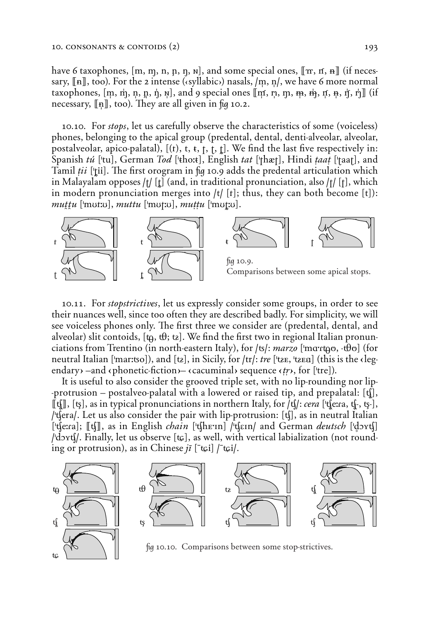have 6 taxophones,  $[m, m, n, n, n]$ , and some special ones,  $[m, n, n]$  (if necessary,  $[\![n]\!]$ , too). For the 2 intense (*csyllabic*) nasals,  $/m$ ,  $n/$ , we have 6 more normal taxophones,  $[m, \dot{m}, n, n, \dot{n}, w]$ , and 9 special ones  $[m, n, m, m, \dot{m}, n, t, n, \dot{r}]$  (if necessary, **((~))**, too). *˛*ey are all given in *û* 10.2.

10.10. For *stops*, let us carefully observe the characteristics of some (voiceless) phones, belonging to the apical group (predental, dental, denti-alveolar, alveolar, postalveolar, apico-palatal),  $[(t), t, t, t, t]$ . We find the last five respectively in: Spanish *tú* ['tu], German *Tod* ['tho:t], English *tat* ['thæt], Hindi *taat* ['taat], and Tamil *tii* ['tii]. The first orogram in fig 10.9 adds the predental articulation which in Malayalam opposes **/˛/ (***†***)** (and, in traditional pronunciation, also **/T/ (T)**, which in modern pronunciation merges into **/t/ (˛)**; thus, they can both become **(t)**):  $muttu$  ['mut:u],  $muttu$  ['mut:u],  $muttu$  ['mut:u].



10.11. For *stopstrictives*, let us expressly consider some groups, in order to see their nuances well, since too often they are described badly. For simplicity, we will see voiceless phones only. The first three we consider are (predental, dental, and alveolar) slit contoids,  $[\uparrow \phi, \uparrow \theta; \uparrow \phi]$ . We find the first two in regional Italian pronunciations from Trentino (in north-eastern Italy), for /ts/: *marzo* ['mαrtρο, - $\theta$ ο] (for neutral Italian ['mar:tso]), and [tz], in Sicily, for  $\vert \text{tr} \vert$ : *tre* ['tze, 'tzea] (this is the clegendary –and  $\langle$  phonetic-fiction –  $\langle$  cacuminal sequence  $\langle$  *tr* $\rangle$ , for ['tre]).

It is useful to also consider the grooved triple set, with no lip-rounding nor lip- -protrusion – postalveo-palatal with a lowered or raised tip, and prepalatal: **(C),**  $[\![\mathbf{t}]\!]$ ,  $[\![\mathbf{t}]\!]$ , as in typical pronunciations in northern Italy, for  $/\mathbf{t}/\cdots$  *cera* [ $\mathbf{t}$ ]  $[\![\mathbf{t}]\!]$   $[\![\mathbf{t}]\!]$ ,  $[\![\mathbf{t}]\!]$ ,  $[\![\mathbf{t}]\!]$ ,  $[\![\mathbf{t}]\!]$ ,  $[\![\mathbf{t}]\!]$ ,  $[\![\mathbf{t}]\!]$ ,  $[\![\mathbf{t}]\!]$ , **/'cera/**. Let us also consider the pair with lip-protrusion: **(c)**, as in neutral Italian  $[$ 't∫e:ra]; [[t]], as in English *chain* ['t∫hE'in] /'t∫ɛin/ and German *deutsch* ['d̪ɔʏtʃ] **/'dOYc/**. ≈nally, let us observe **(***Â***)**, as well, with vertical labialization (not rounding or protrusion), as in Chinese  $i\bar{i}$  [ $\bar{t}$  $\varphi$ i] / $\bar{t}$  $\varphi$ i/.





fig 10.10. Comparisons between some stop-strictives.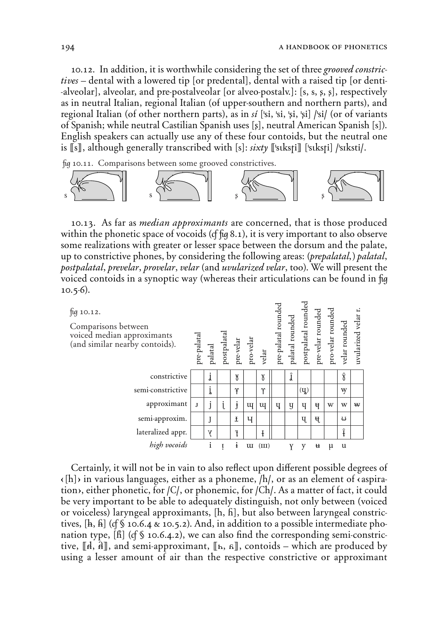10.12. In addition, it is worthwhile considering the set of three *grooved constrictives* – dental with a lowered tip {or predental}, dental with a raised tip {or denti- -alveolar}, alveolar, and pre-postalveolar {or alveo-postalv.}: **(s, s, ß, s)**, respectively as in neutral Italian, regional Italian (of upper-southern and northern parts), and regional Italian (of other northern parts), as in *sì* **('si, 'si, 'ßi, 'si) /'si/** (or of variants of Spanish; while neutral Castilian Spanish uses **(ß)**, neutral American Spanish **(s)**). English speakers can actually use any of these four contoids, but the neutral one is **((s))**, although generally transcribed with **(s)**: *sixty* **(('s¤ksTi)) ('s¤ksTi) /'sIksti/**.

*û* 10.11. Comparisons between some grooved constrictives.



10.13. As far as *median approximants* are concerned, that is those produced within the phonetic space of vocoids (*c*f *fig* 8.1), it is very important to also observe some realizations with greater or lesser space between the dorsum and the palate, up to constrictive phones, by considering the following areas: *[prepalatal˚] palatal*, *postpalatal*, *prevelar*, *provelar*, *velar* (and *uvularized velar*, too). We will present the voiced contoids in a synoptic way (whereas their articulations can be found in *û* 10.5-6).



Certainly, it will not be in vain to also reflect upon different possible degrees of  $\kappa$ [h] $\kappa$  in various languages, either as a phoneme,  $/h/$ , or as an element of  $\kappa$  aspiration), either phonetic, for */C/*, or phonemic, for */Ch/*. As a matter of fact, it could be very important to be able to adequately distinguish, not only between (voiced or voiceless) laryngeal approximants, **(h, H)**, but also between laryngeal constrictives,  $[\hat{h}, \hat{h}]$  (*c*f  $\hat{S}$  10.6.4  $\&$  10.5.2). And, in addition to a possible intermediate phonation type, [h] (cf \§ 10.6.4.2), we can also find the corresponding semi-constrictive,  $\llbracket A, \overline{A} \rrbracket$ , and semi-approximant,  $\llbracket h, \overline{A} \rrbracket$ , contoids – which are produced by using a lesser amount of air than the respective constrictive or approximant